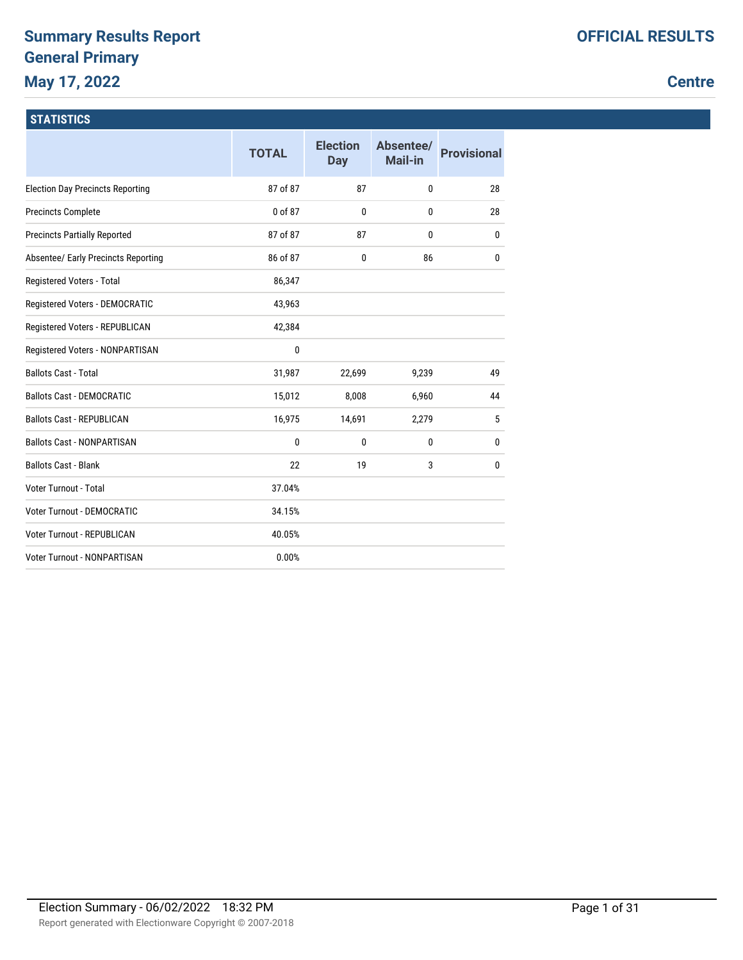## **Summary Results Report General Primary May 17, 2022**

### **Centre**

### **STATISTICS**

|                                         | <b>TOTAL</b> | <b>Election</b><br><b>Day</b> | Absentee/<br>Mail-in | <b>Provisional</b> |
|-----------------------------------------|--------------|-------------------------------|----------------------|--------------------|
| <b>Election Day Precincts Reporting</b> | 87 of 87     | 87                            | 0                    | 28                 |
| <b>Precincts Complete</b>               | 0 of 87      | 0                             | 0                    | 28                 |
| <b>Precincts Partially Reported</b>     | 87 of 87     | 87                            | 0                    | 0                  |
| Absentee/ Early Precincts Reporting     | 86 of 87     | 0                             | 86                   | 0                  |
| Registered Voters - Total               | 86,347       |                               |                      |                    |
| Registered Voters - DEMOCRATIC          | 43,963       |                               |                      |                    |
| Registered Voters - REPUBLICAN          | 42,384       |                               |                      |                    |
| Registered Voters - NONPARTISAN         | 0            |                               |                      |                    |
| <b>Ballots Cast - Total</b>             | 31,987       | 22,699                        | 9,239                | 49                 |
| <b>Ballots Cast - DEMOCRATIC</b>        | 15,012       | 8,008                         | 6,960                | 44                 |
| <b>Ballots Cast - REPUBLICAN</b>        | 16,975       | 14,691                        | 2,279                | 5                  |
| <b>Ballots Cast - NONPARTISAN</b>       | 0            | $\mathbf{0}$                  | 0                    | 0                  |
| <b>Ballots Cast - Blank</b>             | 22           | 19                            | 3                    | 0                  |
| <b>Voter Turnout - Total</b>            | 37.04%       |                               |                      |                    |
| <b>Voter Turnout - DEMOCRATIC</b>       | 34.15%       |                               |                      |                    |
| Voter Turnout - REPUBLICAN              | 40.05%       |                               |                      |                    |
| <b>Voter Turnout - NONPARTISAN</b>      | 0.00%        |                               |                      |                    |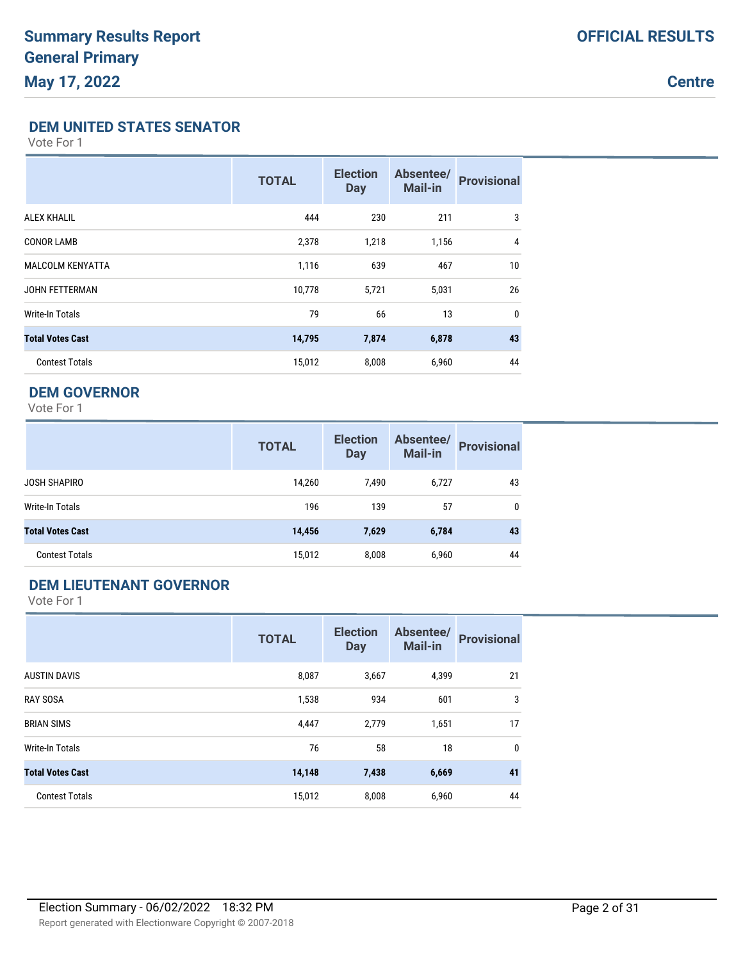**Centre**

### **DEM UNITED STATES SENATOR**

Vote For 1

|                         | <b>TOTAL</b> | <b>Election</b><br><b>Day</b> | Absentee/<br><b>Mail-in</b> | <b>Provisional</b> |
|-------------------------|--------------|-------------------------------|-----------------------------|--------------------|
| <b>ALEX KHALIL</b>      | 444          | 230                           | 211                         | 3                  |
| <b>CONOR LAMB</b>       | 2,378        | 1,218                         | 1,156                       | 4                  |
| <b>MALCOLM KENYATTA</b> | 1,116        | 639                           | 467                         | 10                 |
| <b>JOHN FETTERMAN</b>   | 10,778       | 5,721                         | 5,031                       | 26                 |
| Write-In Totals         | 79           | 66                            | 13                          | $\mathbf 0$        |
| <b>Total Votes Cast</b> | 14,795       | 7,874                         | 6,878                       | 43                 |
| <b>Contest Totals</b>   | 15,012       | 8,008                         | 6,960                       | 44                 |

### **DEM GOVERNOR**

Vote For 1

|                         | <b>TOTAL</b> | <b>Election</b><br><b>Day</b> | Absentee/<br>Mail-in | <b>Provisional</b> |
|-------------------------|--------------|-------------------------------|----------------------|--------------------|
| JOSH SHAPIRO            | 14,260       | 7,490                         | 6,727                | 43                 |
| Write-In Totals         | 196          | 139                           | 57                   | 0                  |
| <b>Total Votes Cast</b> | 14,456       | 7,629                         | 6,784                | 43                 |
| <b>Contest Totals</b>   | 15,012       | 8,008                         | 6,960                | 44                 |

### **DEM LIEUTENANT GOVERNOR**

|                         | <b>TOTAL</b> | <b>Election</b><br><b>Day</b> | Absentee/<br><b>Mail-in</b> | <b>Provisional</b> |
|-------------------------|--------------|-------------------------------|-----------------------------|--------------------|
| <b>AUSTIN DAVIS</b>     | 8,087        | 3,667                         | 4,399                       | 21                 |
| <b>RAY SOSA</b>         | 1,538        | 934                           | 601                         | 3                  |
| <b>BRIAN SIMS</b>       | 4,447        | 2,779                         | 1,651                       | 17                 |
| <b>Write-In Totals</b>  | 76           | 58                            | 18                          | 0                  |
| <b>Total Votes Cast</b> | 14,148       | 7,438                         | 6,669                       | 41                 |
| <b>Contest Totals</b>   | 15,012       | 8,008                         | 6,960                       | 44                 |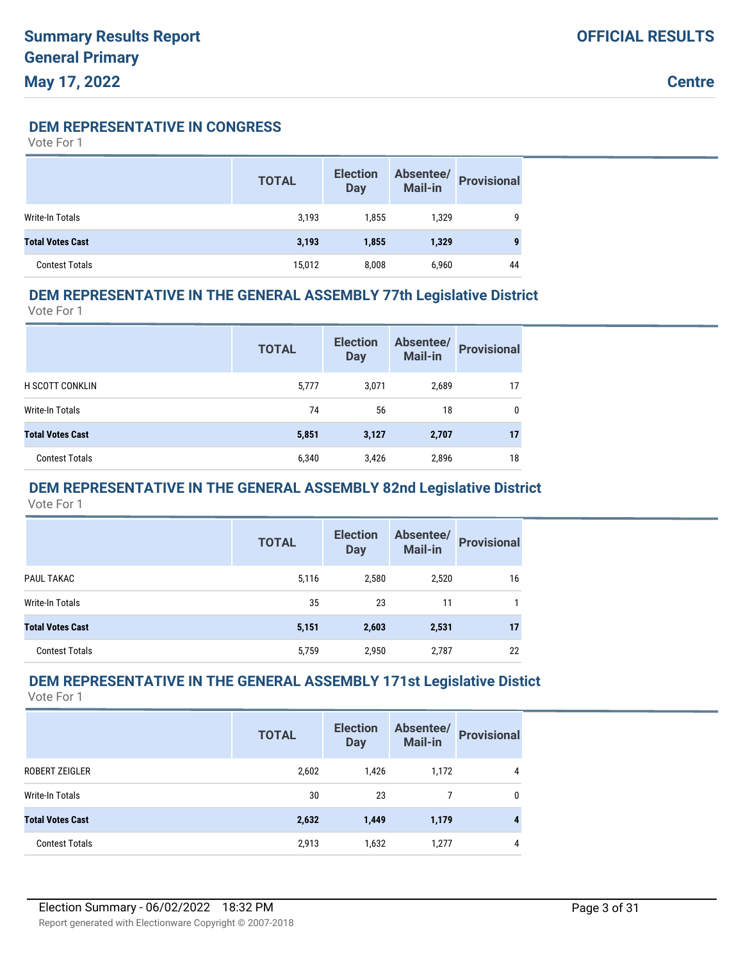**DEM REPRESENTATIVE IN CONGRESS**

Vote For 1

|                         | <b>TOTAL</b> | <b>Election</b><br><b>Day</b> | Absentee/<br>Mail-in | <b>Provisional</b> |
|-------------------------|--------------|-------------------------------|----------------------|--------------------|
| Write-In Totals         | 3,193        | 1,855                         | 1,329                | 9                  |
| <b>Total Votes Cast</b> | 3,193        | 1,855                         | 1,329                | 9                  |
| <b>Contest Totals</b>   | 15,012       | 8.008                         | 6,960                | 44                 |

### **DEM REPRESENTATIVE IN THE GENERAL ASSEMBLY 77th Legislative District**

Vote For 1

|                         | <b>TOTAL</b> | <b>Election</b><br><b>Day</b> | Absentee/<br><b>Mail-in</b> | <b>Provisional</b> |
|-------------------------|--------------|-------------------------------|-----------------------------|--------------------|
| <b>H SCOTT CONKLIN</b>  | 5,777        | 3,071                         | 2,689                       | 17                 |
| Write-In Totals         | 74           | 56                            | 18                          | 0                  |
| <b>Total Votes Cast</b> | 5,851        | 3,127                         | 2,707                       | 17                 |
| <b>Contest Totals</b>   | 6,340        | 3,426                         | 2,896                       | 18                 |

### **DEM REPRESENTATIVE IN THE GENERAL ASSEMBLY 82nd Legislative District**

Vote For 1

|                         | <b>TOTAL</b> | <b>Election</b><br><b>Day</b> | Absentee/<br><b>Mail-in</b> | <b>Provisional</b> |
|-------------------------|--------------|-------------------------------|-----------------------------|--------------------|
| PAUL TAKAC              | 5,116        | 2,580                         | 2,520                       | 16                 |
| Write-In Totals         | 35           | 23                            | 11                          |                    |
| <b>Total Votes Cast</b> | 5,151        | 2,603                         | 2,531                       | 17                 |
| <b>Contest Totals</b>   | 5,759        | 2,950                         | 2,787                       | 22                 |

#### **DEM REPRESENTATIVE IN THE GENERAL ASSEMBLY 171st Legislative Distict** Vote For 1

|                         | <b>TOTAL</b> | <b>Election</b><br><b>Day</b> | Absentee/<br><b>Mail-in</b> | <b>Provisional</b> |
|-------------------------|--------------|-------------------------------|-----------------------------|--------------------|
| ROBERT ZEIGLER          | 2,602        | 1,426                         | 1,172                       | 4                  |
| Write-In Totals         | 30           | 23                            | 7                           | $\mathbf{0}$       |
| <b>Total Votes Cast</b> | 2,632        | 1,449                         | 1,179                       | 4                  |
| <b>Contest Totals</b>   | 2,913        | 1,632                         | 1,277                       | 4                  |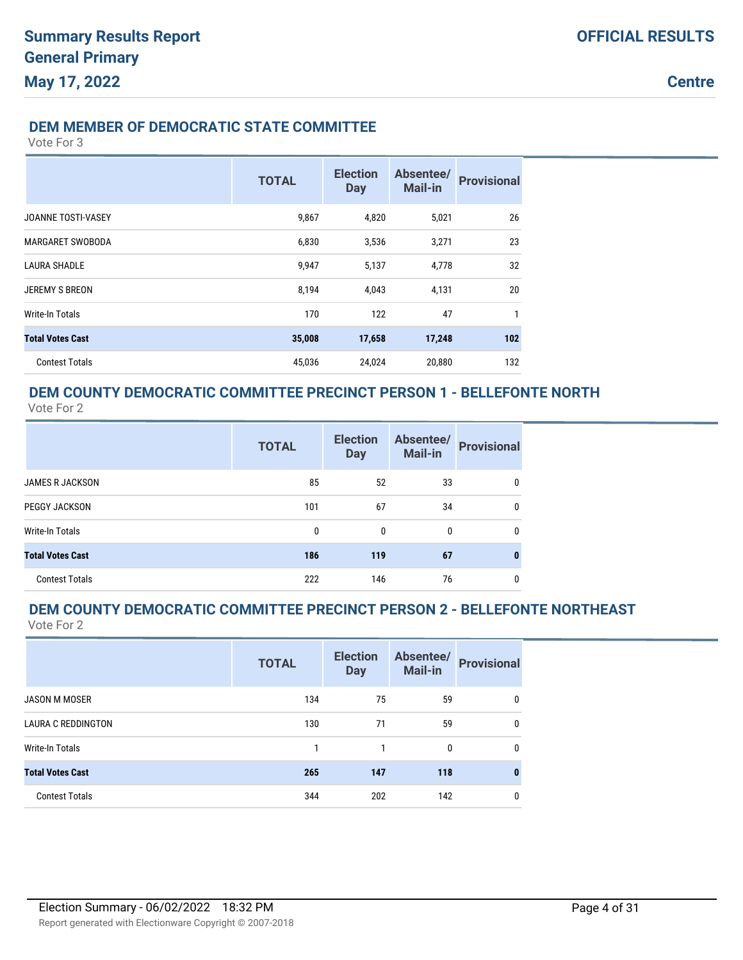**Centre**

#### **DEM MEMBER OF DEMOCRATIC STATE COMMITTEE**

Vote For 3

|                           | <b>TOTAL</b> | <b>Election</b><br><b>Day</b> | Absentee/<br>Mail-in | <b>Provisional</b> |
|---------------------------|--------------|-------------------------------|----------------------|--------------------|
| <b>JOANNE TOSTI-VASEY</b> | 9,867        | 4,820                         | 5,021                | 26                 |
| <b>MARGARET SWOBODA</b>   | 6,830        | 3,536                         | 3,271                | 23                 |
| <b>LAURA SHADLE</b>       | 9,947        | 5,137                         | 4,778                | 32                 |
| <b>JEREMY S BREON</b>     | 8,194        | 4,043                         | 4,131                | 20                 |
| Write-In Totals           | 170          | 122                           | 47                   | 1                  |
| <b>Total Votes Cast</b>   | 35,008       | 17,658                        | 17,248               | 102                |
| <b>Contest Totals</b>     | 45,036       | 24,024                        | 20,880               | 132                |

## **DEM COUNTY DEMOCRATIC COMMITTEE PRECINCT PERSON 1 - BELLEFONTE NORTH**

Vote For 2

|                         | <b>TOTAL</b> | <b>Election</b><br><b>Day</b> | Absentee/<br><b>Mail-in</b> | <b>Provisional</b> |
|-------------------------|--------------|-------------------------------|-----------------------------|--------------------|
| <b>JAMES R JACKSON</b>  | 85           | 52                            | 33                          | 0                  |
| PEGGY JACKSON           | 101          | 67                            | 34                          | 0                  |
| Write-In Totals         | 0            | $\mathbf{0}$                  | 0                           | 0                  |
| <b>Total Votes Cast</b> | 186          | 119                           | 67                          | 0                  |
| <b>Contest Totals</b>   | 222          | 146                           | 76                          | 0                  |

#### **DEM COUNTY DEMOCRATIC COMMITTEE PRECINCT PERSON 2 - BELLEFONTE NORTHEAST** Vote For 2

|                           | <b>TOTAL</b> | <b>Election</b><br><b>Day</b> | Absentee/<br>Mail-in | <b>Provisional</b> |
|---------------------------|--------------|-------------------------------|----------------------|--------------------|
| <b>JASON M MOSER</b>      | 134          | 75                            | 59                   | 0                  |
| <b>LAURA C REDDINGTON</b> | 130          | 71                            | 59                   | 0                  |
| Write-In Totals           |              |                               | 0                    | 0                  |
| <b>Total Votes Cast</b>   | 265          | 147                           | 118                  | 0                  |
| <b>Contest Totals</b>     | 344          | 202                           | 142                  | 0                  |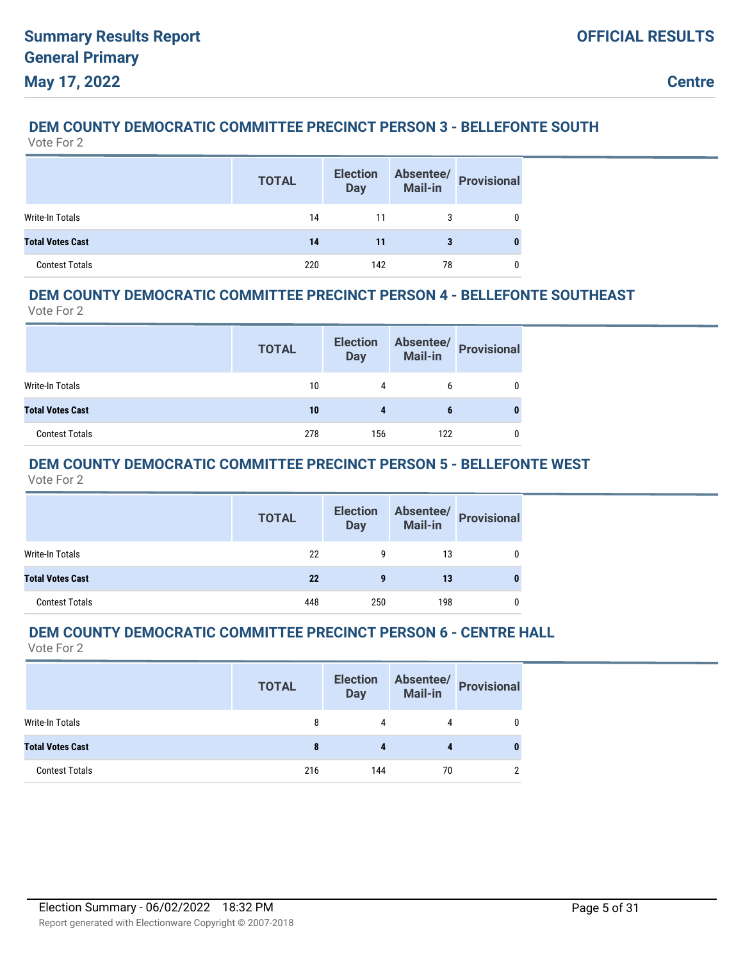## **DEM COUNTY DEMOCRATIC COMMITTEE PRECINCT PERSON 3 - BELLEFONTE SOUTH**

Vote For 2

|                         | <b>TOTAL</b> | <b>Election</b><br><b>Day</b> | Absentee/<br>Mail-in | <b>Provisional</b> |
|-------------------------|--------------|-------------------------------|----------------------|--------------------|
| Write-In Totals         | 14           |                               |                      |                    |
| <b>Total Votes Cast</b> | 14           | 11                            | 3                    |                    |
| <b>Contest Totals</b>   | 220          | 142                           | 78                   |                    |

### **DEM COUNTY DEMOCRATIC COMMITTEE PRECINCT PERSON 4 - BELLEFONTE SOUTHEAST**

Vote For 2

|                         | <b>TOTAL</b> | <b>Election</b><br><b>Day</b> | Absentee/<br><b>Mail-in</b> | <b>Provisional</b> |
|-------------------------|--------------|-------------------------------|-----------------------------|--------------------|
| Write-In Totals         | 10           | 4                             | h                           |                    |
| <b>Total Votes Cast</b> | 10           | 4                             | 6                           |                    |
| <b>Contest Totals</b>   | 278          | 156                           | 122                         |                    |

### **DEM COUNTY DEMOCRATIC COMMITTEE PRECINCT PERSON 5 - BELLEFONTE WEST**

Vote For 2

|                         | <b>TOTAL</b> | <b>Election</b><br><b>Day</b> |     | Absentee/<br>Mail-in<br> |
|-------------------------|--------------|-------------------------------|-----|--------------------------|
| Write-In Totals         | 22           | 9                             | 13  | 0                        |
| <b>Total Votes Cast</b> | 22           | 9                             | 13  | 0                        |
| <b>Contest Totals</b>   | 448          | 250                           | 198 | 0                        |

### **DEM COUNTY DEMOCRATIC COMMITTEE PRECINCT PERSON 6 - CENTRE HALL**

|                         | <b>TOTAL</b> | <b>Election</b><br><b>Day</b> | Absentee/<br><b>Mail-in</b> | <b>Provisional</b> |
|-------------------------|--------------|-------------------------------|-----------------------------|--------------------|
| <b>Write-In Totals</b>  | 8            | 4                             | 4                           |                    |
| <b>Total Votes Cast</b> | 8            | 4                             |                             |                    |
| <b>Contest Totals</b>   | 216          | 144                           | 70                          |                    |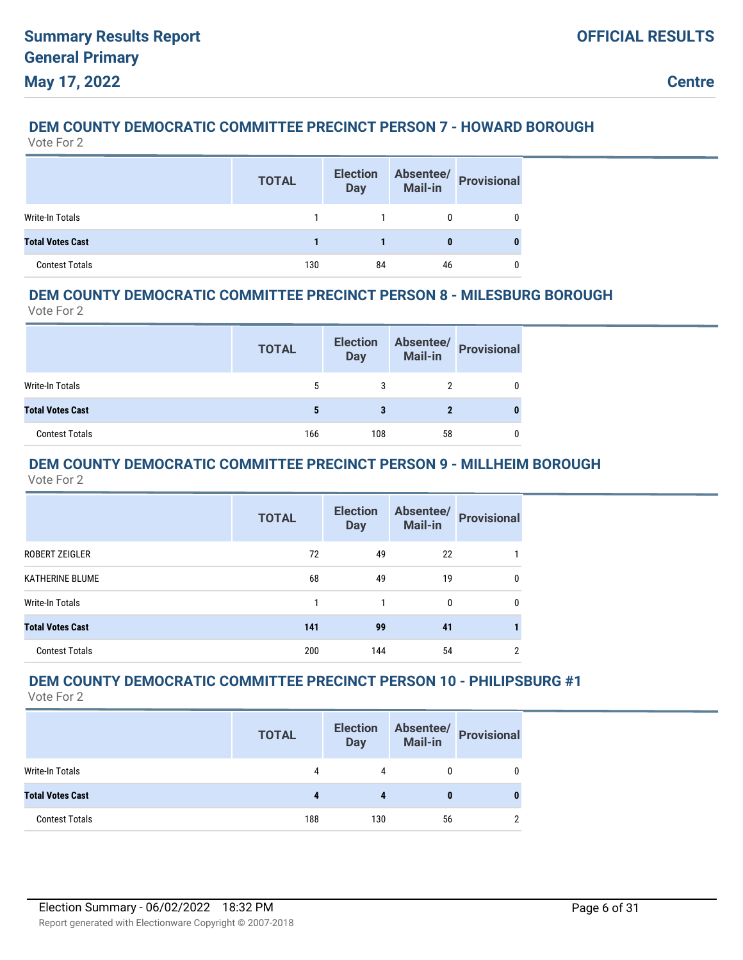## **DEM COUNTY DEMOCRATIC COMMITTEE PRECINCT PERSON 7 - HOWARD BOROUGH**

Vote For 2

|                         | <b>TOTAL</b> | <b>Election</b><br><b>Day</b> | Absentee/<br>Mail-in | <b>Provisional</b> |
|-------------------------|--------------|-------------------------------|----------------------|--------------------|
| Write-In Totals         |              |                               |                      |                    |
| <b>Total Votes Cast</b> |              |                               | 0                    |                    |
| <b>Contest Totals</b>   | 130          | 84                            | 46                   |                    |

### **DEM COUNTY DEMOCRATIC COMMITTEE PRECINCT PERSON 8 - MILESBURG BOROUGH**

Vote For 2

|                         | <b>TOTAL</b> | <b>Election</b><br><b>Day</b> | <b>Mail-in</b> | Absentee/ Provisional |
|-------------------------|--------------|-------------------------------|----------------|-----------------------|
| Write-In Totals         | 5            |                               |                |                       |
| <b>Total Votes Cast</b> |              |                               |                |                       |
| <b>Contest Totals</b>   | 166          | 108                           | 58             |                       |

#### **DEM COUNTY DEMOCRATIC COMMITTEE PRECINCT PERSON 9 - MILLHEIM BOROUGH** Vote For 2

|                         | <b>TOTAL</b> | <b>Election</b><br><b>Day</b> | Absentee/<br><b>Mail-in</b> | <b>Provisional</b> |
|-------------------------|--------------|-------------------------------|-----------------------------|--------------------|
| ROBERT ZEIGLER          | 72           | 49                            | 22                          |                    |
| <b>KATHERINE BLUME</b>  | 68           | 49                            | 19                          | 0                  |
| Write-In Totals         |              | 1                             | 0                           | 0                  |
| <b>Total Votes Cast</b> | 141          | 99                            | 41                          |                    |
| <b>Contest Totals</b>   | 200          | 144                           | 54                          | 2                  |

## **DEM COUNTY DEMOCRATIC COMMITTEE PRECINCT PERSON 10 - PHILIPSBURG #1**

|                         | <b>TOTAL</b> | <b>Election</b><br><b>Day</b> | Absentee/<br>Mail-in | <b>Provisional</b> |
|-------------------------|--------------|-------------------------------|----------------------|--------------------|
| Write-In Totals         | 4            | 4                             |                      |                    |
| <b>Total Votes Cast</b> |              | 4                             |                      | 0                  |
| <b>Contest Totals</b>   | 188          | 130                           | 56                   |                    |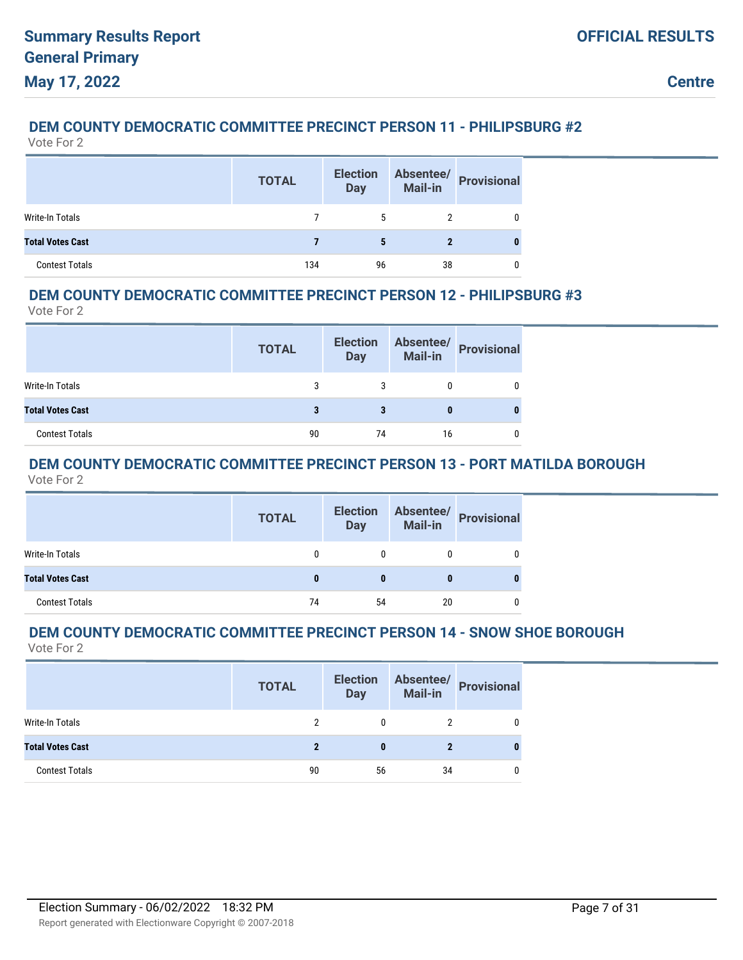### **DEM COUNTY DEMOCRATIC COMMITTEE PRECINCT PERSON 11 - PHILIPSBURG #2**

Vote For 2

|                         | <b>TOTAL</b> | <b>Election</b><br><b>Day</b> | Absentee/<br><b>Mail-in</b> | <b>Provisional</b> |
|-------------------------|--------------|-------------------------------|-----------------------------|--------------------|
| Write-In Totals         |              |                               |                             |                    |
| <b>Total Votes Cast</b> |              | 5                             | 2                           |                    |
| <b>Contest Totals</b>   | 134          | 96                            | 38                          |                    |

### **DEM COUNTY DEMOCRATIC COMMITTEE PRECINCT PERSON 12 - PHILIPSBURG #3**

Vote For 2

|                         | <b>TOTAL</b> | <b>Election</b><br><b>Day</b> | Absentee/<br>Mail-in | Provisional |
|-------------------------|--------------|-------------------------------|----------------------|-------------|
| Write-In Totals         | 3            |                               |                      |             |
| <b>Total Votes Cast</b> |              | 3                             |                      |             |
| <b>Contest Totals</b>   | 90           | 74                            | 16                   |             |

#### **DEM COUNTY DEMOCRATIC COMMITTEE PRECINCT PERSON 13 - PORT MATILDA BOROUGH** Vote For 2

| <b>TOTAL</b> | <b>Day</b> |    |                                               |
|--------------|------------|----|-----------------------------------------------|
|              |            | 0  |                                               |
|              | $\bf{0}$   | 0  |                                               |
| 74           | 54         | 20 |                                               |
|              |            |    | Election Absentee/<br>Day Mail-in Provisional |

#### **DEM COUNTY DEMOCRATIC COMMITTEE PRECINCT PERSON 14 - SNOW SHOE BOROUGH** Vote For 2

|                         | <b>TOTAL</b> | <b>Election</b><br><b>Day</b> | Absentee/<br><b>Mail-in</b> | <b>Provisional</b> |
|-------------------------|--------------|-------------------------------|-----------------------------|--------------------|
| <b>Write-In Totals</b>  |              | 0                             |                             |                    |
| <b>Total Votes Cast</b> | 2            | 0                             | $\mathbf 2$                 |                    |
| <b>Contest Totals</b>   | 90           | 56                            | 34                          |                    |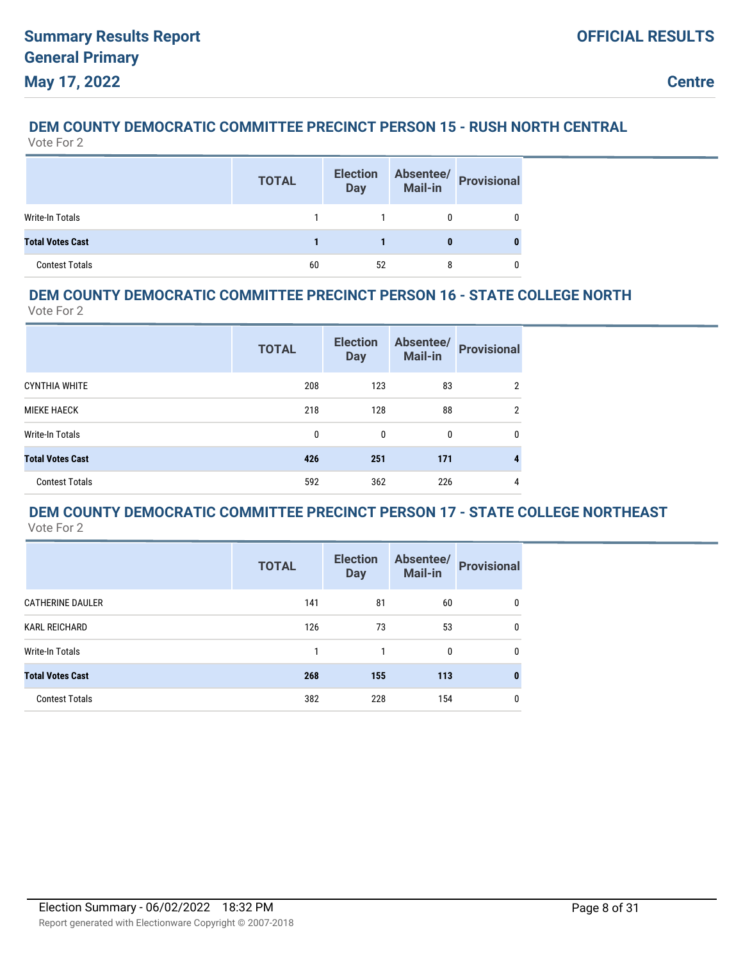# **DEM COUNTY DEMOCRATIC COMMITTEE PRECINCT PERSON 15 - RUSH NORTH CENTRAL**

| Vote For |  |
|----------|--|
|----------|--|

|                         | <b>TOTAL</b> | <b>Election</b><br><b>Day</b> | <b>Absentee/</b><br>Mail-in | <b>Provisional</b> |
|-------------------------|--------------|-------------------------------|-----------------------------|--------------------|
| Write-In Totals         |              |                               |                             |                    |
| <b>Total Votes Cast</b> |              |                               |                             |                    |
| <b>Contest Totals</b>   | 60           | 52                            |                             |                    |

### **DEM COUNTY DEMOCRATIC COMMITTEE PRECINCT PERSON 16 - STATE COLLEGE NORTH**

Vote For 2

|                         | <b>TOTAL</b> | <b>Election</b><br><b>Day</b> | Absentee/<br>Mail-in | <b>Provisional</b> |
|-------------------------|--------------|-------------------------------|----------------------|--------------------|
| <b>CYNTHIA WHITE</b>    | 208          | 123                           | 83                   | 2                  |
| <b>MIEKE HAECK</b>      | 218          | 128                           | 88                   | 2                  |
| Write-In Totals         | $\mathbf{0}$ | 0                             | 0                    | 0                  |
| <b>Total Votes Cast</b> | 426          | 251                           | 171                  |                    |
| <b>Contest Totals</b>   | 592          | 362                           | 226                  | 4                  |

#### **DEM COUNTY DEMOCRATIC COMMITTEE PRECINCT PERSON 17 - STATE COLLEGE NORTHEAST** Vote For 2

|                         | <b>TOTAL</b> | <b>Election</b><br><b>Day</b> | Absentee/<br><b>Mail-in</b> | <b>Provisional</b> |
|-------------------------|--------------|-------------------------------|-----------------------------|--------------------|
| <b>CATHERINE DAULER</b> | 141          | 81                            | 60                          | 0                  |
| <b>KARL REICHARD</b>    | 126          | 73                            | 53                          | 0                  |
| Write-In Totals         | 1            |                               | 0                           | 0                  |
| <b>Total Votes Cast</b> | 268          | 155                           | 113                         | 0                  |
| <b>Contest Totals</b>   | 382          | 228                           | 154                         | 0                  |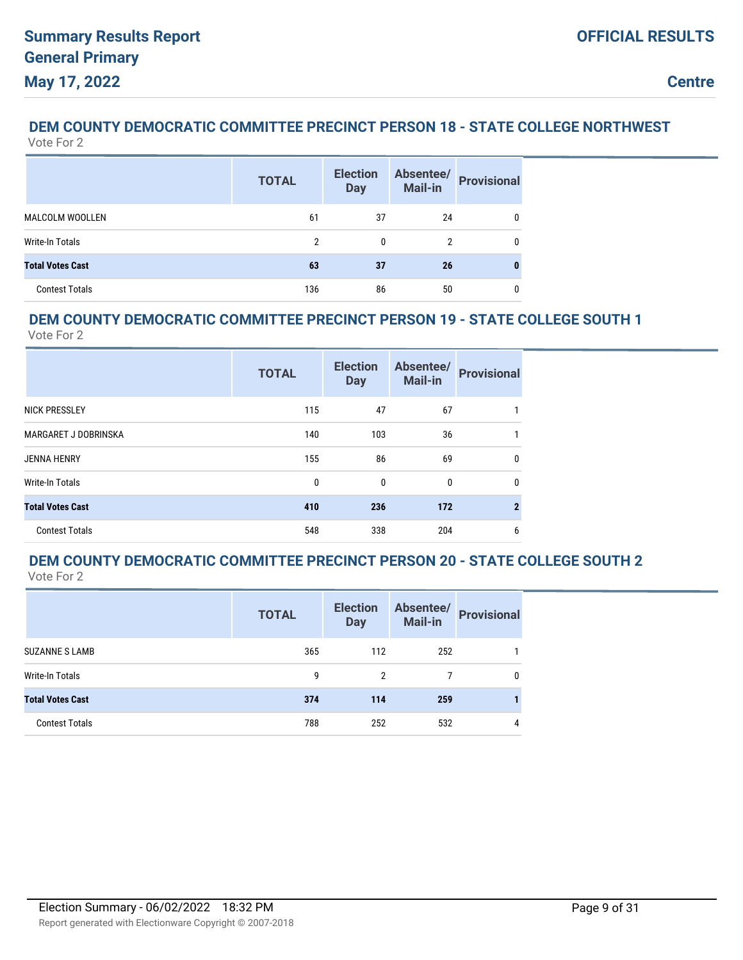#### **DEM COUNTY DEMOCRATIC COMMITTEE PRECINCT PERSON 18 - STATE COLLEGE NORTHWEST** Vote For 2

|                         | <b>TOTAL</b> | <b>Election</b><br><b>Day</b> | Absentee/<br>Mail-in | <b>Provisional</b> |
|-------------------------|--------------|-------------------------------|----------------------|--------------------|
| <b>MALCOLM WOOLLEN</b>  | 61           | 37                            | 24                   | 0                  |
| Write-In Totals         | 2            | 0                             |                      | 0                  |
| <b>Total Votes Cast</b> | 63           | 37                            | 26                   |                    |
| <b>Contest Totals</b>   | 136          | 86                            | 50                   | 0                  |

### **DEM COUNTY DEMOCRATIC COMMITTEE PRECINCT PERSON 19 - STATE COLLEGE SOUTH 1**

Vote For 2

|                             | <b>TOTAL</b> | <b>Election</b><br><b>Day</b> | Absentee/<br>Mail-in | <b>Provisional</b> |
|-----------------------------|--------------|-------------------------------|----------------------|--------------------|
| <b>NICK PRESSLEY</b>        | 115          | 47                            | 67                   |                    |
| <b>MARGARET J DOBRINSKA</b> | 140          | 103                           | 36                   |                    |
| <b>JENNA HENRY</b>          | 155          | 86                            | 69                   | 0                  |
| Write-In Totals             | 0            | 0                             | 0                    | 0                  |
| <b>Total Votes Cast</b>     | 410          | 236                           | 172                  | $\overline{2}$     |
| <b>Contest Totals</b>       | 548          | 338                           | 204                  | 6                  |

#### **DEM COUNTY DEMOCRATIC COMMITTEE PRECINCT PERSON 20 - STATE COLLEGE SOUTH 2** Vote For 2

|                         | <b>TOTAL</b> | <b>Election</b><br><b>Day</b> | Absentee/<br><b>Mail-in</b> | <b>Provisional</b> |
|-------------------------|--------------|-------------------------------|-----------------------------|--------------------|
| <b>SUZANNE S LAMB</b>   | 365          | 112                           | 252                         |                    |
| Write-In Totals         | 9            | 2                             |                             | 0                  |
| <b>Total Votes Cast</b> | 374          | 114                           | 259                         |                    |
| <b>Contest Totals</b>   | 788          | 252                           | 532                         | 4                  |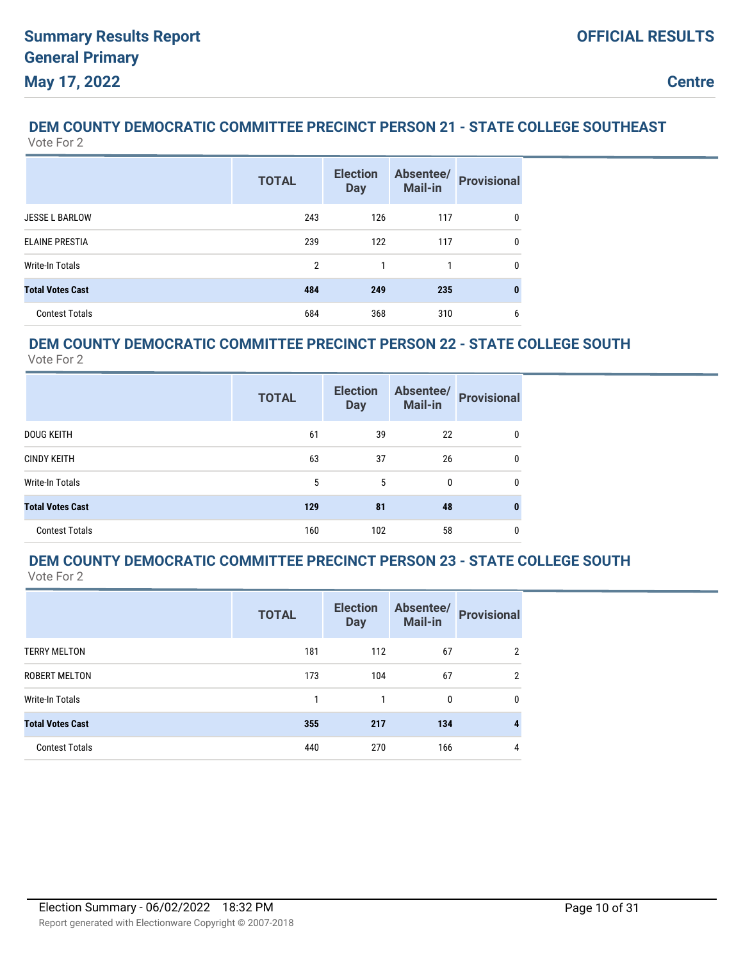#### **DEM COUNTY DEMOCRATIC COMMITTEE PRECINCT PERSON 21 - STATE COLLEGE SOUTHEAST** Vote For 2

|                         | <b>TOTAL</b>   | <b>Election</b><br><b>Day</b> | Absentee/<br>Mail-in | <b>Provisional</b> |
|-------------------------|----------------|-------------------------------|----------------------|--------------------|
| <b>JESSE L BARLOW</b>   | 243            | 126                           | 117                  | $\mathbf{0}$       |
| <b>ELAINE PRESTIA</b>   | 239            | 122                           | 117                  | $\mathbf{0}$       |
| <b>Write-In Totals</b>  | $\overline{2}$ | 1                             | 1                    | $\mathbf{0}$       |
| <b>Total Votes Cast</b> | 484            | 249                           | 235                  | 0                  |
| <b>Contest Totals</b>   | 684            | 368                           | 310                  | 6                  |

## **DEM COUNTY DEMOCRATIC COMMITTEE PRECINCT PERSON 22 - STATE COLLEGE SOUTH**

Vote For 2

|                         | <b>TOTAL</b> | <b>Election</b><br><b>Day</b> | Absentee/<br>Mail-in | <b>Provisional</b> |
|-------------------------|--------------|-------------------------------|----------------------|--------------------|
| <b>DOUG KEITH</b>       | 61           | 39                            | 22                   | 0                  |
| <b>CINDY KEITH</b>      | 63           | 37                            | 26                   | 0                  |
| Write-In Totals         | 5            | 5                             | $\bf{0}$             | 0                  |
| <b>Total Votes Cast</b> | 129          | 81                            | 48                   | 0                  |
| <b>Contest Totals</b>   | 160          | 102                           | 58                   | 0                  |

#### **DEM COUNTY DEMOCRATIC COMMITTEE PRECINCT PERSON 23 - STATE COLLEGE SOUTH** Vote For 2

|                         | <b>TOTAL</b> | <b>Election</b><br><b>Day</b> | Absentee/<br><b>Mail-in</b> | <b>Provisional</b> |
|-------------------------|--------------|-------------------------------|-----------------------------|--------------------|
| <b>TERRY MELTON</b>     | 181          | 112                           | 67                          | 2                  |
| <b>ROBERT MELTON</b>    | 173          | 104                           | 67                          | 2                  |
| Write-In Totals         |              |                               | 0                           | 0                  |
| <b>Total Votes Cast</b> | 355          | 217                           | 134                         |                    |
| <b>Contest Totals</b>   | 440          | 270                           | 166                         | 4                  |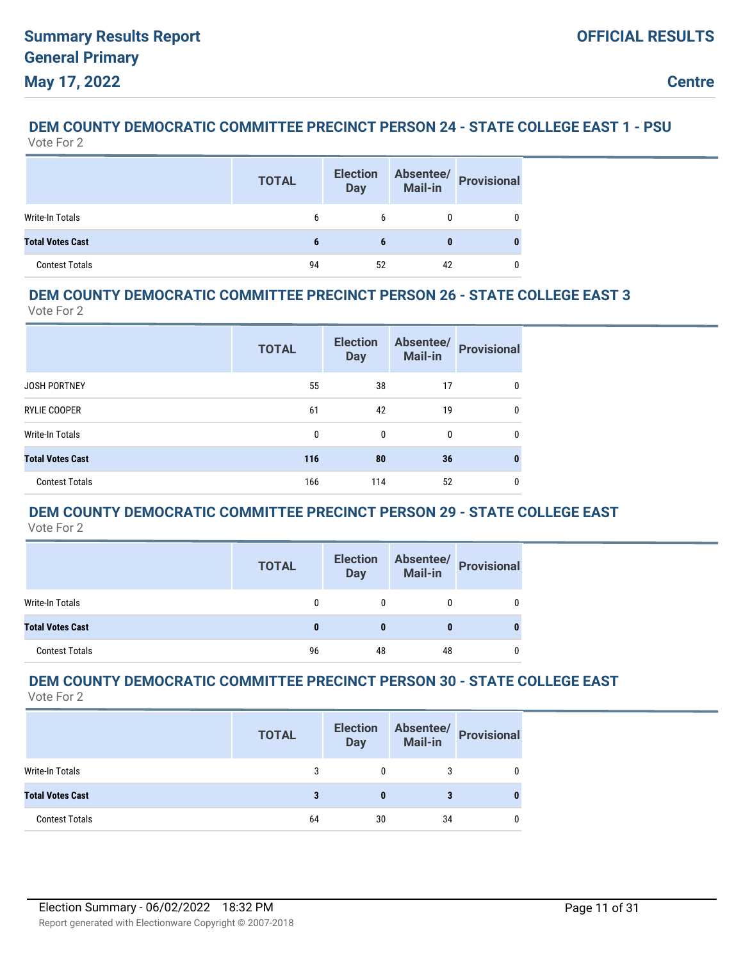#### **DEM COUNTY DEMOCRATIC COMMITTEE PRECINCT PERSON 24 - STATE COLLEGE EAST 1 - PSU** Vote For 2

|                         | <b>TOTAL</b> | <b>Election</b><br><b>Day</b> | Absentee/<br>Mail-in | <b>Provisional</b> |
|-------------------------|--------------|-------------------------------|----------------------|--------------------|
| <b>Write-In Totals</b>  | 6            | 6                             |                      |                    |
| <b>Total Votes Cast</b> | 6            |                               | 0                    |                    |
| <b>Contest Totals</b>   | 94           | 52                            | 42                   |                    |

### **DEM COUNTY DEMOCRATIC COMMITTEE PRECINCT PERSON 26 - STATE COLLEGE EAST 3**

Vote For 2

|                         | <b>TOTAL</b> | <b>Election</b><br><b>Day</b> | Absentee/<br><b>Mail-in</b> | <b>Provisional</b> |
|-------------------------|--------------|-------------------------------|-----------------------------|--------------------|
| <b>JOSH PORTNEY</b>     | 55           | 38                            | 17                          | 0                  |
| <b>RYLIE COOPER</b>     | 61           | 42                            | 19                          | 0                  |
| <b>Write-In Totals</b>  | 0            | 0                             | 0                           | 0                  |
| <b>Total Votes Cast</b> | 116          | 80                            | 36                          | 0                  |
| <b>Contest Totals</b>   | 166          | 114                           | 52                          | 0                  |

## **DEM COUNTY DEMOCRATIC COMMITTEE PRECINCT PERSON 29 - STATE COLLEGE EAST**

Vote For 2

|                         | <b>TOTAL</b> | <b>Election</b><br><b>Day</b> |    | Absentee/<br>Mail-in Provisional |
|-------------------------|--------------|-------------------------------|----|----------------------------------|
| Write-In Totals         |              |                               |    |                                  |
| <b>Total Votes Cast</b> |              |                               |    |                                  |
| <b>Contest Totals</b>   | 96           | 48                            | 48 |                                  |

#### **DEM COUNTY DEMOCRATIC COMMITTEE PRECINCT PERSON 30 - STATE COLLEGE EAST** Vote For 2

|                         | <b>TOTAL</b> | <b>Election</b><br><b>Day</b> | Absentee/<br>Mail-in | <b>Provisional</b> |
|-------------------------|--------------|-------------------------------|----------------------|--------------------|
| Write-In Totals         | 3            |                               | 3                    |                    |
| <b>Total Votes Cast</b> |              |                               |                      |                    |
| <b>Contest Totals</b>   | 64           | 30                            | 34                   |                    |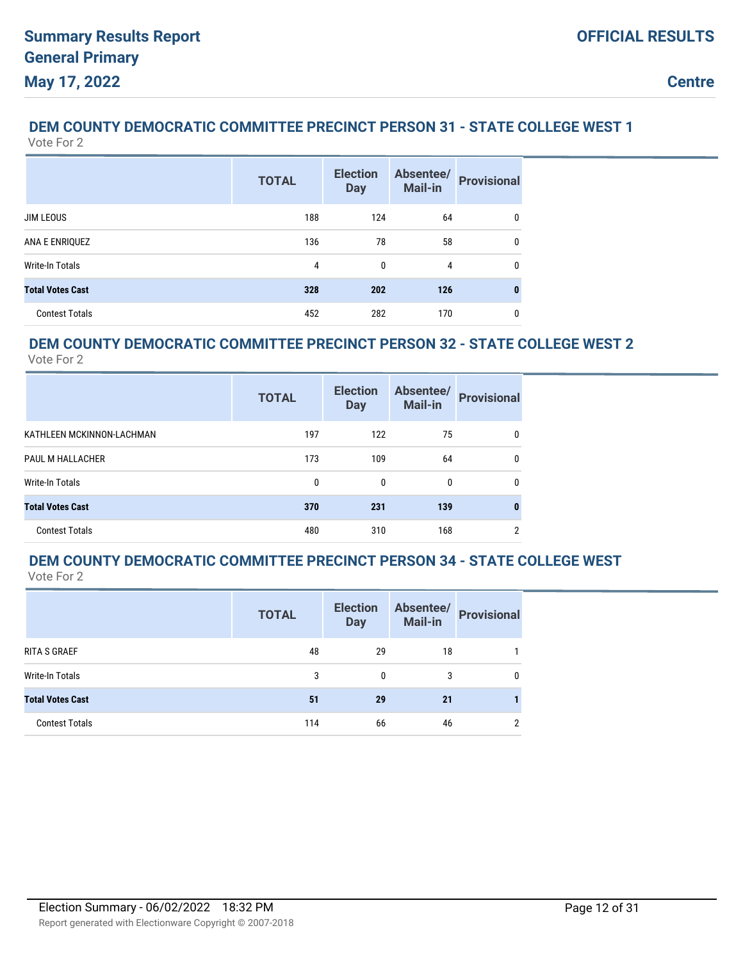# **DEM COUNTY DEMOCRATIC COMMITTEE PRECINCT PERSON 31 - STATE COLLEGE WEST 1**

| Vote For 2              |              |                               |                             |                    |
|-------------------------|--------------|-------------------------------|-----------------------------|--------------------|
|                         | <b>TOTAL</b> | <b>Election</b><br><b>Day</b> | Absentee/<br><b>Mail-in</b> | <b>Provisional</b> |
| <b>JIM LEOUS</b>        | 188          | 124                           | 64                          | $\mathbf{0}$       |
| ANA E ENRIQUEZ          | 136          | 78                            | 58                          | $\mathbf{0}$       |
| <b>Write-In Totals</b>  | 4            | 0                             | 4                           | 0                  |
| <b>Total Votes Cast</b> | 328          | 202                           | 126                         | 0                  |
| <b>Contest Totals</b>   | 452          | 282                           | 170                         | 0                  |
|                         |              |                               |                             |                    |

### **DEM COUNTY DEMOCRATIC COMMITTEE PRECINCT PERSON 32 - STATE COLLEGE WEST 2**

Vote For 2

|                           | <b>TOTAL</b> | <b>Election</b><br><b>Day</b> | Absentee/<br>Mail-in | <b>Provisional</b> |
|---------------------------|--------------|-------------------------------|----------------------|--------------------|
| KATHLEEN MCKINNON-LACHMAN | 197          | 122                           | 75                   | 0                  |
| PAUL M HALLACHER          | 173          | 109                           | 64                   | 0                  |
| Write-In Totals           | 0            | 0                             | 0                    | 0                  |
| <b>Total Votes Cast</b>   | 370          | 231                           | 139                  | 0                  |
| <b>Contest Totals</b>     | 480          | 310                           | 168                  | 2                  |

#### **DEM COUNTY DEMOCRATIC COMMITTEE PRECINCT PERSON 34 - STATE COLLEGE WEST** Vote For 2

|                         | <b>TOTAL</b> | <b>Election</b><br><b>Day</b> | Absentee/<br><b>Mail-in</b> | <b>Provisional</b> |
|-------------------------|--------------|-------------------------------|-----------------------------|--------------------|
| RITA S GRAEF            | 48           | 29                            | 18                          |                    |
| Write-In Totals         | 3            | 0                             | 3                           | 0                  |
| <b>Total Votes Cast</b> | 51           | 29                            | 21                          |                    |
| <b>Contest Totals</b>   | 114          | 66                            | 46                          | $\overline{2}$     |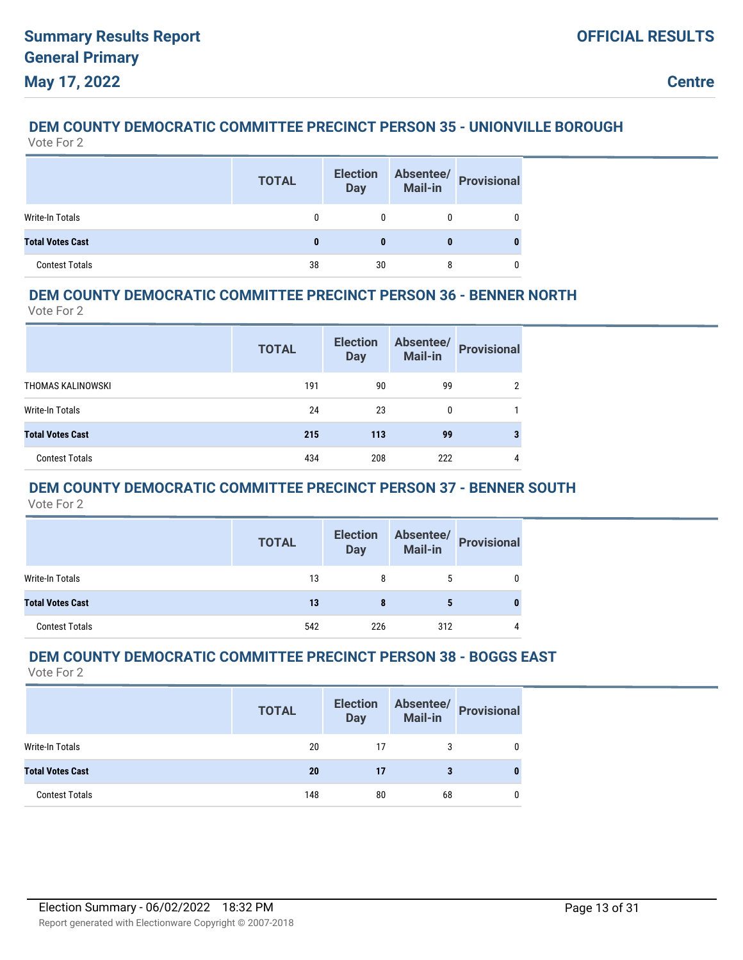#### **DEM COUNTY DEMOCRATIC COMMITTEE PRECINCT PERSON 35 - UNIONVILLE BOROUGH** Vote For 2

|                         | <b>TOTAL</b> | <b>Election</b><br><b>Day</b> | Absentee/<br>Mail-in | <b>Provisional</b> |
|-------------------------|--------------|-------------------------------|----------------------|--------------------|
| Write-In Totals         |              |                               |                      |                    |
| <b>Total Votes Cast</b> | 0            | 0                             |                      |                    |
| <b>Contest Totals</b>   | 38           | 30                            | 8                    |                    |

### **DEM COUNTY DEMOCRATIC COMMITTEE PRECINCT PERSON 36 - BENNER NORTH**

Vote For 2

|                         | <b>TOTAL</b> | <b>Election</b><br><b>Day</b> | Absentee/<br><b>Mail-in</b> | <b>Provisional</b> |
|-------------------------|--------------|-------------------------------|-----------------------------|--------------------|
| THOMAS KALINOWSKI       | 191          | 90                            | 99                          | ົ                  |
| Write-In Totals         | 24           | 23                            | 0                           |                    |
| <b>Total Votes Cast</b> | 215          | 113                           | 99                          |                    |
| <b>Contest Totals</b>   | 434          | 208                           | 222                         | 4                  |

### **DEM COUNTY DEMOCRATIC COMMITTEE PRECINCT PERSON 37 - BENNER SOUTH**

Vote For 2

|                         | <b>TOTAL</b> | <b>Election</b><br><b>Day</b> | <b>Mail-in</b> | Absentee/ Provisional |
|-------------------------|--------------|-------------------------------|----------------|-----------------------|
| Write-In Totals         | 13           | 8                             | 5              |                       |
| <b>Total Votes Cast</b> | 13           | 8                             | 5              |                       |
| <b>Contest Totals</b>   | 542          | 226                           | 312            |                       |

### **DEM COUNTY DEMOCRATIC COMMITTEE PRECINCT PERSON 38 - BOGGS EAST**

|                         | <b>TOTAL</b> | <b>Election</b><br><b>Day</b> | Absentee/<br>Mail-in | <b>Provisional</b> |
|-------------------------|--------------|-------------------------------|----------------------|--------------------|
| Write-In Totals         | 20           | 17                            |                      |                    |
| <b>Total Votes Cast</b> | 20           | 17                            | з                    |                    |
| <b>Contest Totals</b>   | 148          | 80                            | 68                   |                    |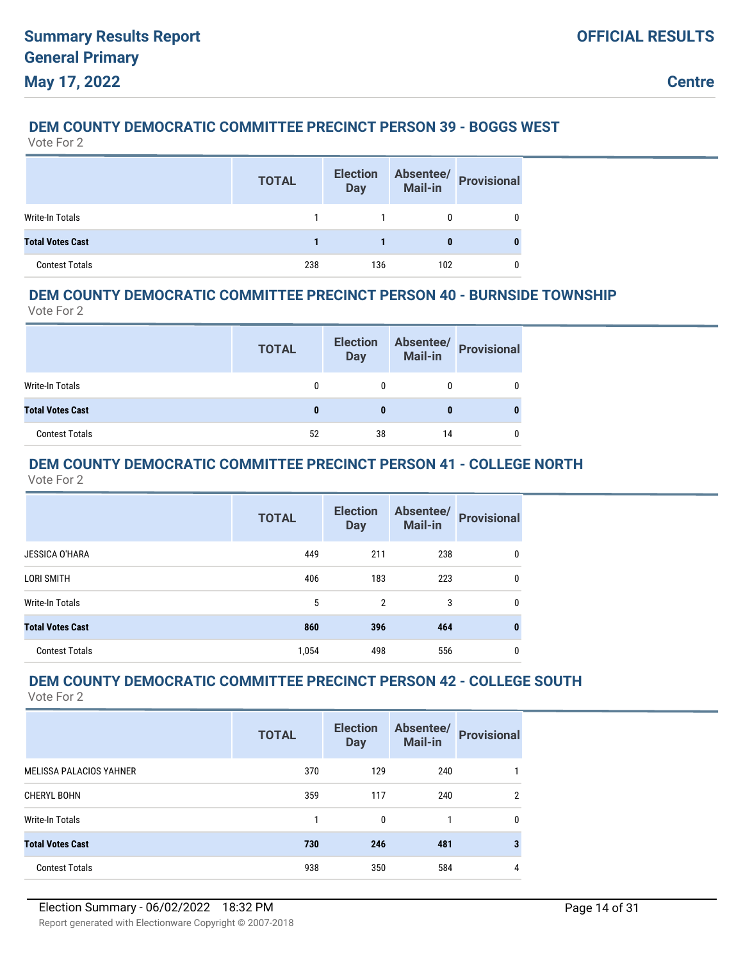### **DEM COUNTY DEMOCRATIC COMMITTEE PRECINCT PERSON 39 - BOGGS WEST**

Vote For 2

|                         | <b>TOTAL</b> | <b>Election</b><br><b>Day</b> | Absentee/<br>Mail-in | <b>Provisional</b> |
|-------------------------|--------------|-------------------------------|----------------------|--------------------|
| <b>Write-In Totals</b>  |              |                               |                      |                    |
| <b>Total Votes Cast</b> |              |                               | 0                    |                    |
| <b>Contest Totals</b>   | 238          | 136                           | 102                  |                    |

### **DEM COUNTY DEMOCRATIC COMMITTEE PRECINCT PERSON 40 - BURNSIDE TOWNSHIP**

Vote For 2

|                         | <b>TOTAL</b> | <b>Election</b><br><b>Day</b> | <b>Mail-in</b> | Absentee/ Provisional |
|-------------------------|--------------|-------------------------------|----------------|-----------------------|
| Write-In Totals         | 0            | 0                             |                |                       |
| <b>Total Votes Cast</b> | 0            |                               |                |                       |
| <b>Contest Totals</b>   | 52           | 38                            | 14             |                       |

## **DEM COUNTY DEMOCRATIC COMMITTEE PRECINCT PERSON 41 - COLLEGE NORTH**

Vote For 2

|                         | <b>TOTAL</b> | <b>Election</b><br><b>Day</b> | Absentee/<br><b>Mail-in</b> | <b>Provisional</b> |
|-------------------------|--------------|-------------------------------|-----------------------------|--------------------|
| <b>JESSICA O'HARA</b>   | 449          | 211                           | 238                         | 0                  |
| LORI SMITH              | 406          | 183                           | 223                         | 0                  |
| Write-In Totals         | 5            | 2                             | 3                           | 0                  |
| <b>Total Votes Cast</b> | 860          | 396                           | 464                         | 0                  |
| <b>Contest Totals</b>   | 1,054        | 498                           | 556                         | 0                  |

## **DEM COUNTY DEMOCRATIC COMMITTEE PRECINCT PERSON 42 - COLLEGE SOUTH**

|                                | <b>TOTAL</b> | <b>Election</b><br><b>Day</b> | Absentee/<br><b>Mail-in</b> | <b>Provisional</b> |
|--------------------------------|--------------|-------------------------------|-----------------------------|--------------------|
| <b>MELISSA PALACIOS YAHNER</b> | 370          | 129                           | 240                         |                    |
| <b>CHERYL BOHN</b>             | 359          | 117                           | 240                         | 2                  |
| Write-In Totals                |              | $\mathbf{0}$                  |                             | $\mathbf{0}$       |
| <b>Total Votes Cast</b>        | 730          | 246                           | 481                         | 3                  |
| <b>Contest Totals</b>          | 938          | 350                           | 584                         | 4                  |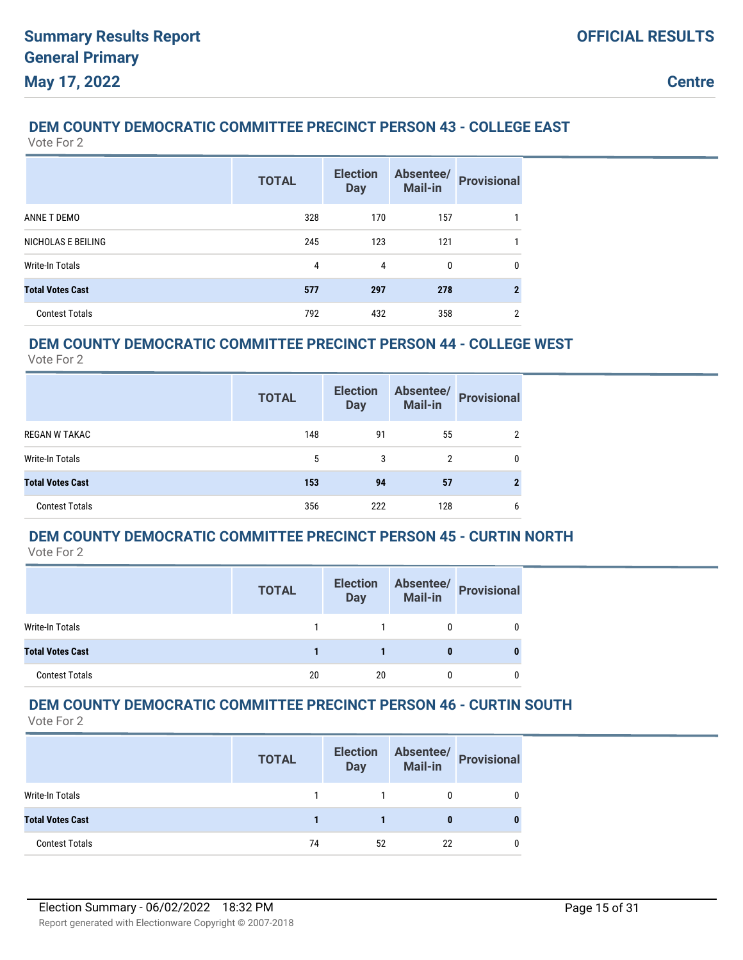### **DEM COUNTY DEMOCRATIC COMMITTEE PRECINCT PERSON 43 - COLLEGE EAST**

Vote For 2

|                         | <b>TOTAL</b> | <b>Election</b><br><b>Day</b> | Absentee/<br>Mail-in | <b>Provisional</b> |
|-------------------------|--------------|-------------------------------|----------------------|--------------------|
| ANNE T DEMO             | 328          | 170                           | 157                  |                    |
| NICHOLAS E BEILING      | 245          | 123                           | 121                  |                    |
| Write-In Totals         | 4            | 4                             | 0                    | 0                  |
| <b>Total Votes Cast</b> | 577          | 297                           | 278                  | 2                  |
| <b>Contest Totals</b>   | 792          | 432                           | 358                  | ≘                  |

### **DEM COUNTY DEMOCRATIC COMMITTEE PRECINCT PERSON 44 - COLLEGE WEST**

Vote For 2

|                         | <b>TOTAL</b> | <b>Election</b><br><b>Day</b> | Absentee/<br><b>Mail-in</b> | <b>Provisional</b> |
|-------------------------|--------------|-------------------------------|-----------------------------|--------------------|
| <b>REGAN W TAKAC</b>    | 148          | 91                            | 55                          |                    |
| Write-In Totals         | 5            | 3                             | 2                           | 0                  |
| <b>Total Votes Cast</b> | 153          | 94                            | 57                          |                    |
| <b>Contest Totals</b>   | 356          | 222                           | 128                         | b                  |

### **DEM COUNTY DEMOCRATIC COMMITTEE PRECINCT PERSON 45 - CURTIN NORTH**

Vote For 2

|                         | <b>TOTAL</b> | <b>Election</b><br><b>Day</b> | Absentee/<br><b>Mail-in</b> | <b>Provisional</b> |
|-------------------------|--------------|-------------------------------|-----------------------------|--------------------|
| Write-In Totals         |              |                               |                             |                    |
| <b>Total Votes Cast</b> |              |                               |                             |                    |
| <b>Contest Totals</b>   | 20           | 20                            |                             |                    |

#### **DEM COUNTY DEMOCRATIC COMMITTEE PRECINCT PERSON 46 - CURTIN SOUTH** Vote For 2

|                         | <b>TOTAL</b> | <b>Election</b><br><b>Day</b> | Absentee/<br>Mail-in | <b>Provisional</b> |
|-------------------------|--------------|-------------------------------|----------------------|--------------------|
| Write-In Totals         |              |                               |                      |                    |
| <b>Total Votes Cast</b> |              |                               |                      |                    |
| <b>Contest Totals</b>   | 74           | 52                            | 22                   |                    |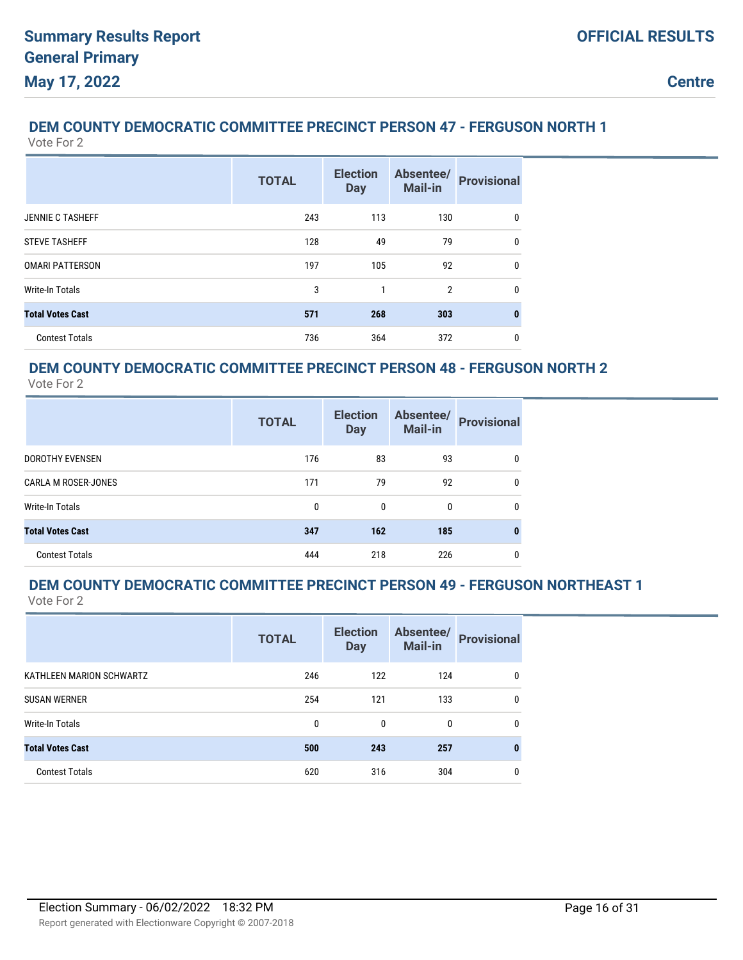## **DEM COUNTY DEMOCRATIC COMMITTEE PRECINCT PERSON 47 - FERGUSON NORTH 1**

Vote For 2

|                         | <b>TOTAL</b> | <b>Election</b><br><b>Day</b> | Absentee/<br><b>Mail-in</b> | <b>Provisional</b> |
|-------------------------|--------------|-------------------------------|-----------------------------|--------------------|
| <b>JENNIE C TASHEFF</b> | 243          | 113                           | 130                         | 0                  |
| <b>STEVE TASHEFF</b>    | 128          | 49                            | 79                          | 0                  |
| <b>OMARI PATTERSON</b>  | 197          | 105                           | 92                          | 0                  |
| <b>Write-In Totals</b>  | 3            | 1                             | $\overline{2}$              | 0                  |
| <b>Total Votes Cast</b> | 571          | 268                           | 303                         | $\bf{0}$           |
| <b>Contest Totals</b>   | 736          | 364                           | 372                         | 0                  |

#### **DEM COUNTY DEMOCRATIC COMMITTEE PRECINCT PERSON 48 - FERGUSON NORTH 2** Vote For 2

|                            | <b>TOTAL</b> | <b>Election</b><br><b>Day</b> | Absentee/<br><b>Mail-in</b> | <b>Provisional</b> |
|----------------------------|--------------|-------------------------------|-----------------------------|--------------------|
| <b>DOROTHY EVENSEN</b>     | 176          | 83                            | 93                          | 0                  |
| <b>CARLA M ROSER-JONES</b> | 171          | 79                            | 92                          | 0                  |
| <b>Write-In Totals</b>     | $\mathbf{0}$ | 0                             | 0                           | 0                  |
| <b>Total Votes Cast</b>    | 347          | 162                           | 185                         | 0                  |
| <b>Contest Totals</b>      | 444          | 218                           | 226                         | 0                  |

#### **DEM COUNTY DEMOCRATIC COMMITTEE PRECINCT PERSON 49 - FERGUSON NORTHEAST 1** Vote For 2

|                          | <b>TOTAL</b> | <b>Election</b><br><b>Day</b> | Absentee/<br><b>Mail-in</b> | <b>Provisional</b> |
|--------------------------|--------------|-------------------------------|-----------------------------|--------------------|
| KATHLEEN MARION SCHWARTZ | 246          | 122                           | 124                         | 0                  |
| <b>SUSAN WERNER</b>      | 254          | 121                           | 133                         | 0                  |
| Write-In Totals          | 0            | 0                             | 0                           | 0                  |
| <b>Total Votes Cast</b>  | 500          | 243                           | 257                         | 0                  |
| <b>Contest Totals</b>    | 620          | 316                           | 304                         | 0                  |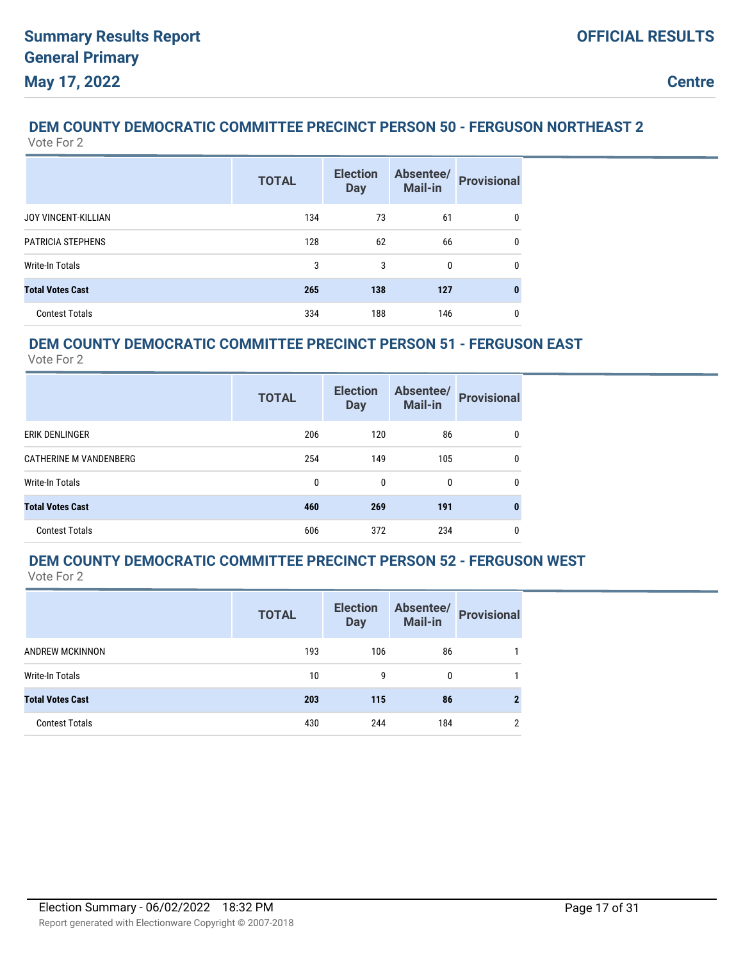#### **DEM COUNTY DEMOCRATIC COMMITTEE PRECINCT PERSON 50 - FERGUSON NORTHEAST 2** Vote For 2

|                            | <b>TOTAL</b> | <b>Election</b><br><b>Day</b> | Absentee/<br>Mail-in | <b>Provisional</b> |
|----------------------------|--------------|-------------------------------|----------------------|--------------------|
| <b>JOY VINCENT-KILLIAN</b> | 134          | 73                            | 61                   | 0                  |
| <b>PATRICIA STEPHENS</b>   | 128          | 62                            | 66                   | 0                  |
| <b>Write-In Totals</b>     | 3            | 3                             | 0                    | 0                  |
| <b>Total Votes Cast</b>    | 265          | 138                           | 127                  |                    |
| <b>Contest Totals</b>      | 334          | 188                           | 146                  | 0                  |

### **DEM COUNTY DEMOCRATIC COMMITTEE PRECINCT PERSON 51 - FERGUSON EAST**

Vote For 2

|                               | <b>TOTAL</b> | <b>Election</b><br><b>Day</b> | Absentee/<br><b>Mail-in</b> | <b>Provisional</b> |
|-------------------------------|--------------|-------------------------------|-----------------------------|--------------------|
| ERIK DENLINGER                | 206          | 120                           | 86                          | 0                  |
| <b>CATHERINE M VANDENBERG</b> | 254          | 149                           | 105                         | 0                  |
| Write-In Totals               | 0            | 0                             | 0                           | 0                  |
| <b>Total Votes Cast</b>       | 460          | 269                           | 191                         | 0                  |
| <b>Contest Totals</b>         | 606          | 372                           | 234                         | 0                  |

## **DEM COUNTY DEMOCRATIC COMMITTEE PRECINCT PERSON 52 - FERGUSON WEST**

|                         | <b>TOTAL</b> | <b>Election</b><br><b>Day</b> | Absentee/<br><b>Mail-in</b> | <b>Provisional</b> |
|-------------------------|--------------|-------------------------------|-----------------------------|--------------------|
| ANDREW MCKINNON         | 193          | 106                           | 86                          |                    |
| Write-In Totals         | 10           | 9                             | 0                           |                    |
| <b>Total Votes Cast</b> | 203          | 115                           | 86                          |                    |
| <b>Contest Totals</b>   | 430          | 244                           | 184                         | 2                  |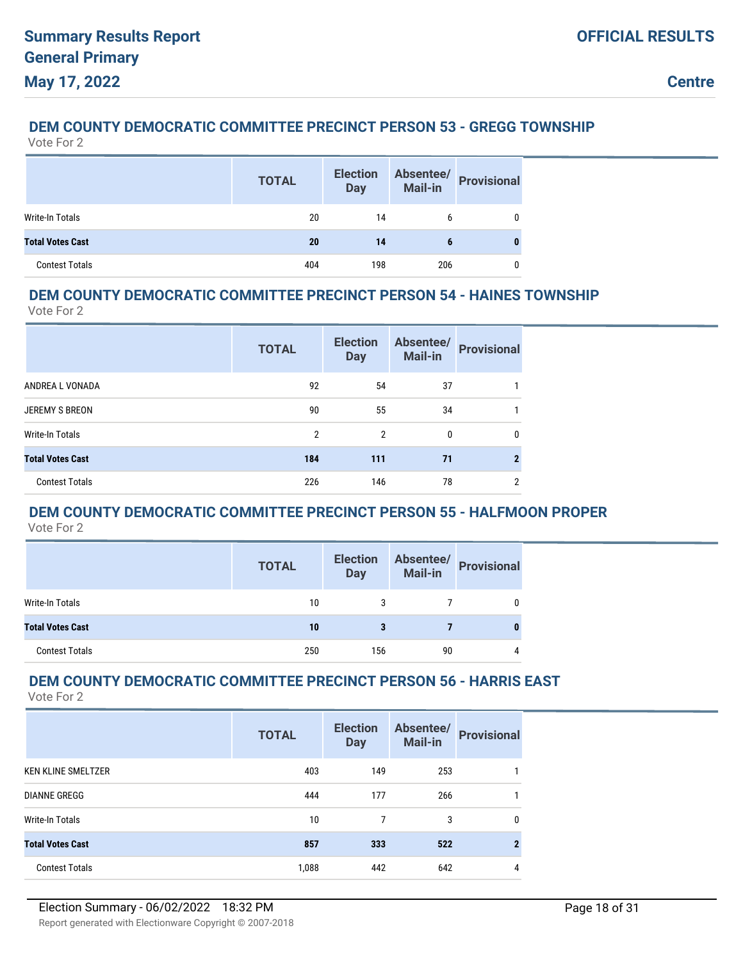## **DEM COUNTY DEMOCRATIC COMMITTEE PRECINCT PERSON 53 - GREGG TOWNSHIP**

Vote For 2

|                         | <b>TOTAL</b> | <b>Election</b><br><b>Day</b> | <b>Absentee/</b><br>Mail-in | <b>Provisional</b> |
|-------------------------|--------------|-------------------------------|-----------------------------|--------------------|
| Write-In Totals         | 20           | 14                            |                             |                    |
| <b>Total Votes Cast</b> | 20           | 14                            | 6                           |                    |
| <b>Contest Totals</b>   | 404          | 198                           | 206                         |                    |

### **DEM COUNTY DEMOCRATIC COMMITTEE PRECINCT PERSON 54 - HAINES TOWNSHIP**

Vote For 2

|                         | <b>TOTAL</b> | <b>Election</b><br><b>Day</b> | Absentee/<br><b>Mail-in</b> | <b>Provisional</b> |
|-------------------------|--------------|-------------------------------|-----------------------------|--------------------|
| ANDREA L VONADA         | 92           | 54                            | 37                          |                    |
| <b>JEREMY S BREON</b>   | 90           | 55                            | 34                          |                    |
| Write-In Totals         | 2            | 2                             | $\Omega$                    | $\mathbf{0}$       |
| <b>Total Votes Cast</b> | 184          | 111                           | 71                          |                    |
| <b>Contest Totals</b>   | 226          | 146                           | 78                          | ≘                  |

## **DEM COUNTY DEMOCRATIC COMMITTEE PRECINCT PERSON 55 - HALFMOON PROPER**

Vote For 2

|                         | <b>TOTAL</b> | <b>Election</b><br><b>Day</b> | Absentee/<br>Mail-in | <b>Provisional</b> |
|-------------------------|--------------|-------------------------------|----------------------|--------------------|
| Write-In Totals         | 10           | 3                             |                      |                    |
| <b>Total Votes Cast</b> | 10           | 3                             |                      |                    |
| <b>Contest Totals</b>   | 250          | 156                           | 90                   | 4                  |

## **DEM COUNTY DEMOCRATIC COMMITTEE PRECINCT PERSON 56 - HARRIS EAST**

|                           | <b>TOTAL</b> | <b>Election</b><br><b>Day</b> | Absentee/<br>Mail-in | <b>Provisional</b> |
|---------------------------|--------------|-------------------------------|----------------------|--------------------|
| <b>KEN KLINE SMELTZER</b> | 403          | 149                           | 253                  |                    |
| <b>DIANNE GREGG</b>       | 444          | 177                           | 266                  |                    |
| <b>Write-In Totals</b>    | 10           | 7                             | 3                    | $\mathbf{0}$       |
| <b>Total Votes Cast</b>   | 857          | 333                           | 522                  | $\mathbf{2}$       |
| <b>Contest Totals</b>     | 1,088        | 442                           | 642                  | 4                  |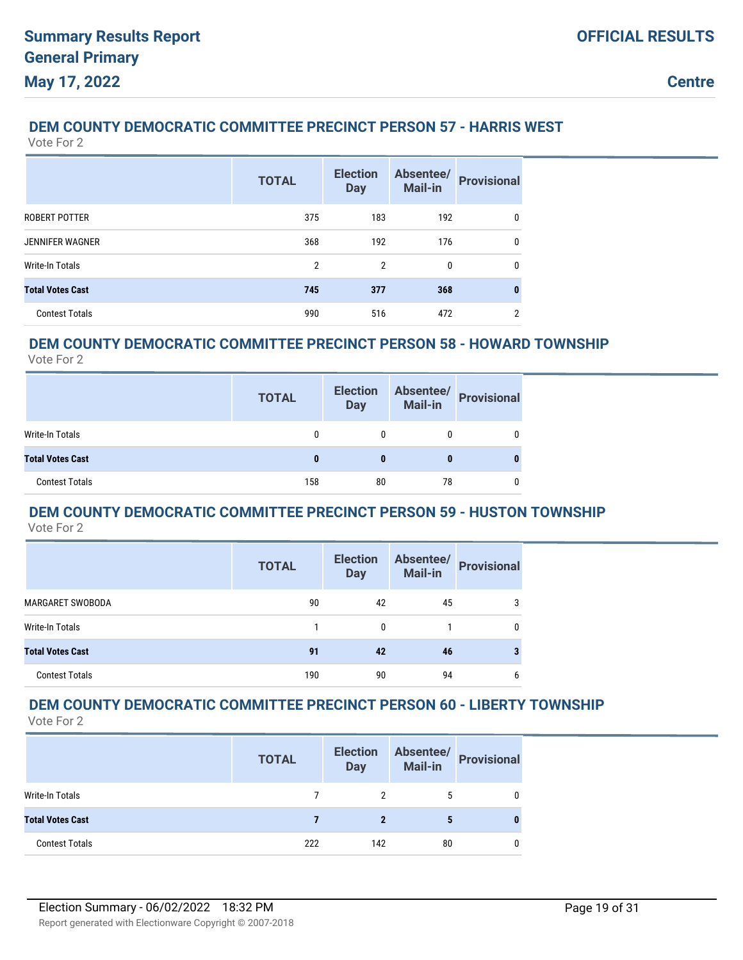### **DEM COUNTY DEMOCRATIC COMMITTEE PRECINCT PERSON 57 - HARRIS WEST**

Vote For 2

|                         | <b>TOTAL</b>   | <b>Election</b><br><b>Day</b> | Absentee/<br>Mail-in | <b>Provisional</b> |
|-------------------------|----------------|-------------------------------|----------------------|--------------------|
| ROBERT POTTER           | 375            | 183                           | 192                  | 0                  |
| <b>JENNIFER WAGNER</b>  | 368            | 192                           | 176                  | 0                  |
| <b>Write-In Totals</b>  | $\overline{2}$ | $\overline{2}$                | 0                    | 0                  |
| <b>Total Votes Cast</b> | 745            | 377                           | 368                  | 0                  |
| <b>Contest Totals</b>   | 990            | 516                           | 472                  | C                  |

### **DEM COUNTY DEMOCRATIC COMMITTEE PRECINCT PERSON 58 - HOWARD TOWNSHIP**

Vote For 2

|                         | <b>TOTAL</b> | <b>Election</b><br><b>Day</b> | Absentee/<br><b>Mail-in</b> | Provisional |
|-------------------------|--------------|-------------------------------|-----------------------------|-------------|
| Write-In Totals         |              |                               |                             |             |
| <b>Total Votes Cast</b> | 0            |                               | 0                           | 0           |
| <b>Contest Totals</b>   | 158          | 80                            | 78                          |             |

#### **DEM COUNTY DEMOCRATIC COMMITTEE PRECINCT PERSON 59 - HUSTON TOWNSHIP** Vote For 2

|                         | <b>TOTAL</b> | <b>Election</b><br><b>Day</b> | Absentee/<br><b>Mail-in</b> | <b>Provisional</b> |
|-------------------------|--------------|-------------------------------|-----------------------------|--------------------|
| <b>MARGARET SWOBODA</b> | 90           | 42                            | 45                          | 3                  |
| <b>Write-In Totals</b>  |              | 0                             |                             | 0                  |
| <b>Total Votes Cast</b> | 91           | 42                            | 46                          |                    |
| <b>Contest Totals</b>   | 190          | 90                            | 94                          | 6                  |

#### **DEM COUNTY DEMOCRATIC COMMITTEE PRECINCT PERSON 60 - LIBERTY TOWNSHIP** Vote For 2

|                         | <b>TOTAL</b> | <b>Election</b><br><b>Day</b> | Absentee/<br>Mail-in | Provisional |
|-------------------------|--------------|-------------------------------|----------------------|-------------|
| Write-In Totals         |              |                               |                      |             |
| <b>Total Votes Cast</b> |              |                               |                      |             |
| <b>Contest Totals</b>   | 222          | 142                           | 80                   |             |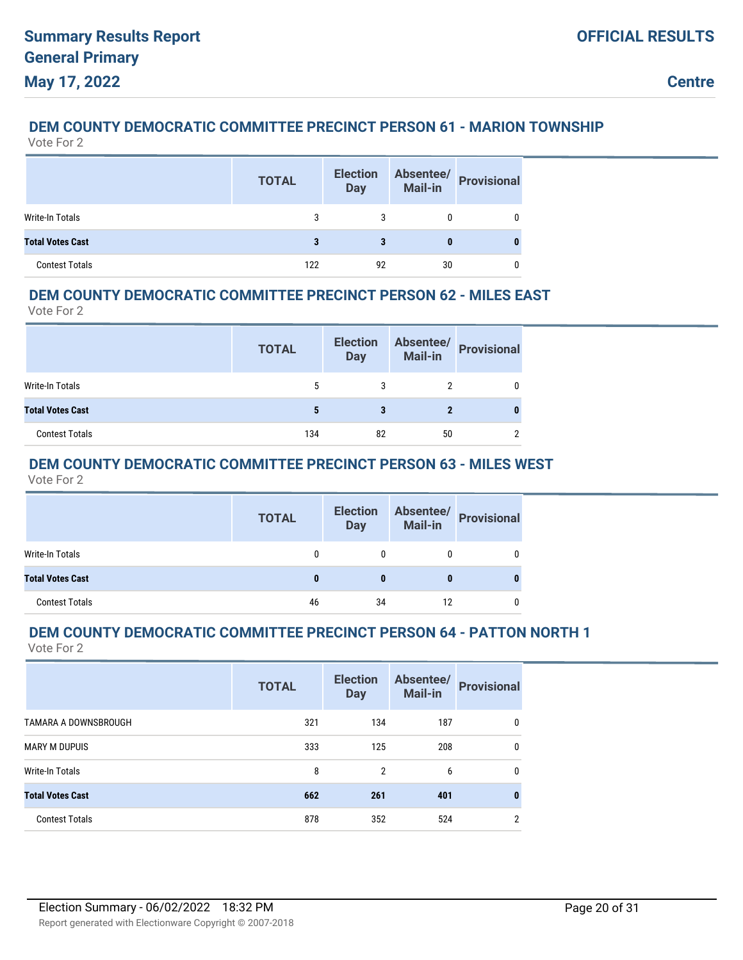## **DEM COUNTY DEMOCRATIC COMMITTEE PRECINCT PERSON 61 - MARION TOWNSHIP**

Vote For 2

|                         | <b>TOTAL</b> | <b>Election</b><br><b>Day</b> | Absentee/<br>Mail-in | <b>Provisional</b> |
|-------------------------|--------------|-------------------------------|----------------------|--------------------|
| Write-In Totals         |              |                               |                      |                    |
| <b>Total Votes Cast</b> |              |                               |                      |                    |
| <b>Contest Totals</b>   | 122          | 92                            | 30                   |                    |

### **DEM COUNTY DEMOCRATIC COMMITTEE PRECINCT PERSON 62 - MILES EAST**

Vote For 2

|                         | <b>TOTAL</b> | <b>Election</b><br><b>Day</b> | Absentee/<br>Mail-in | <b>Provisional</b> |
|-------------------------|--------------|-------------------------------|----------------------|--------------------|
| Write-In Totals         |              |                               |                      |                    |
| <b>Total Votes Cast</b> |              |                               | 2                    |                    |
| <b>Contest Totals</b>   | 134          | 82                            | 50                   |                    |

### **DEM COUNTY DEMOCRATIC COMMITTEE PRECINCT PERSON 63 - MILES WEST**

Vote For 2

|                         | <b>TOTAL</b> | <b>Election</b><br><b>Day</b> |    | Absentee/<br>Mail-in<br>Provisional |
|-------------------------|--------------|-------------------------------|----|-------------------------------------|
| Write-In Totals         | 0            | 0                             | 0  | 0                                   |
| <b>Total Votes Cast</b> | $\bf{0}$     | 0                             | 0  | $\bf{0}$                            |
| <b>Contest Totals</b>   | 46           | 34                            | 12 | 0                                   |

# **DEM COUNTY DEMOCRATIC COMMITTEE PRECINCT PERSON 64 - PATTON NORTH 1**

|                         | <b>TOTAL</b> | <b>Election</b><br><b>Day</b> | Absentee/<br>Mail-in | <b>Provisional</b> |
|-------------------------|--------------|-------------------------------|----------------------|--------------------|
| TAMARA A DOWNSBROUGH    | 321          | 134                           | 187                  | 0                  |
| <b>MARY M DUPUIS</b>    | 333          | 125                           | 208                  | 0                  |
| <b>Write-In Totals</b>  | 8            | 2                             | 6                    | $\mathbf{0}$       |
| <b>Total Votes Cast</b> | 662          | 261                           | 401                  | 0                  |
| <b>Contest Totals</b>   | 878          | 352                           | 524                  | 2                  |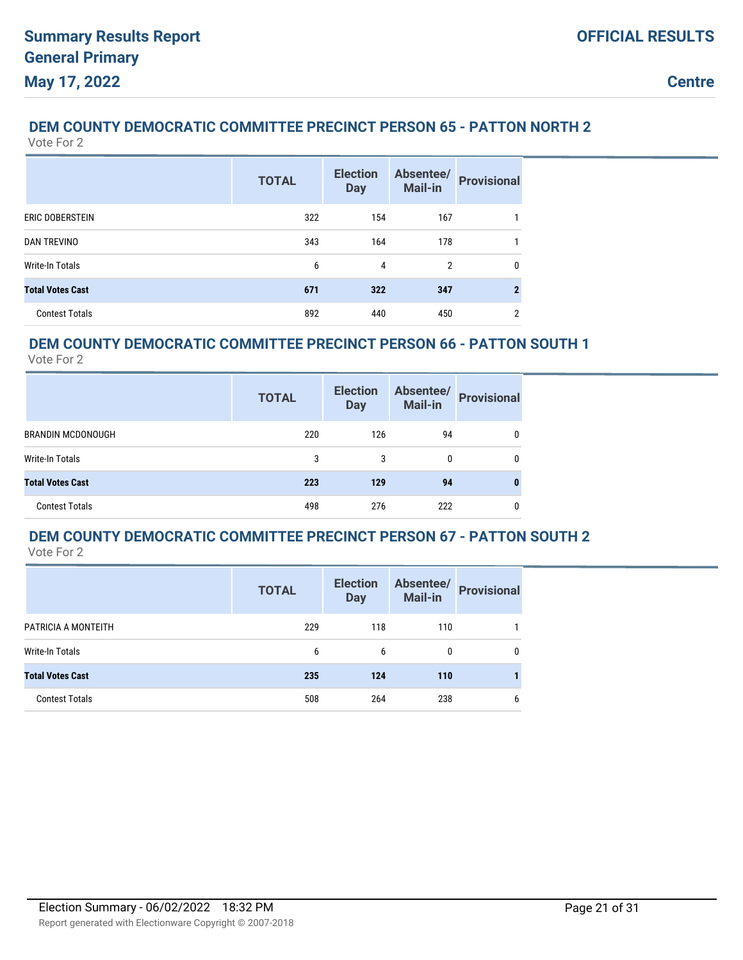### **DEM COUNTY DEMOCRATIC COMMITTEE PRECINCT PERSON 65 - PATTON NORTH 2**

Vote For 2

|                         | <b>TOTAL</b> | <b>Election</b><br><b>Day</b> | Absentee/<br><b>Mail-in</b> | <b>Provisional</b> |
|-------------------------|--------------|-------------------------------|-----------------------------|--------------------|
| ERIC DOBERSTEIN         | 322          | 154                           | 167                         |                    |
| <b>DAN TREVINO</b>      | 343          | 164                           | 178                         |                    |
| Write-In Totals         | 6            | 4                             | $\overline{2}$              | $\mathbf{0}$       |
| <b>Total Votes Cast</b> | 671          | 322                           | 347                         | $\mathbf{2}$       |
| <b>Contest Totals</b>   | 892          | 440                           | 450                         | 2                  |

### **DEM COUNTY DEMOCRATIC COMMITTEE PRECINCT PERSON 66 - PATTON SOUTH 1**

Vote For 2

|                          | <b>TOTAL</b> | <b>Election</b><br><b>Day</b> | Absentee/<br><b>Mail-in</b> | <b>Provisional</b> |
|--------------------------|--------------|-------------------------------|-----------------------------|--------------------|
| <b>BRANDIN MCDONOUGH</b> | 220          | 126                           | 94                          |                    |
| Write-In Totals          | 3            | 3                             | 0                           |                    |
| <b>Total Votes Cast</b>  | 223          | 129                           | 94                          |                    |
| <b>Contest Totals</b>    | 498          | 276                           | 222                         |                    |

## **DEM COUNTY DEMOCRATIC COMMITTEE PRECINCT PERSON 67 - PATTON SOUTH 2**

|                         | <b>TOTAL</b> | <b>Election</b><br><b>Day</b> | Absentee/<br><b>Mail-in</b> | <b>Provisional</b> |
|-------------------------|--------------|-------------------------------|-----------------------------|--------------------|
| PATRICIA A MONTEITH     | 229          | 118                           | 110                         |                    |
| Write-In Totals         | 6            | 6                             | 0                           | 0                  |
| <b>Total Votes Cast</b> | 235          | 124                           | 110                         |                    |
| <b>Contest Totals</b>   | 508          | 264                           | 238                         | 6                  |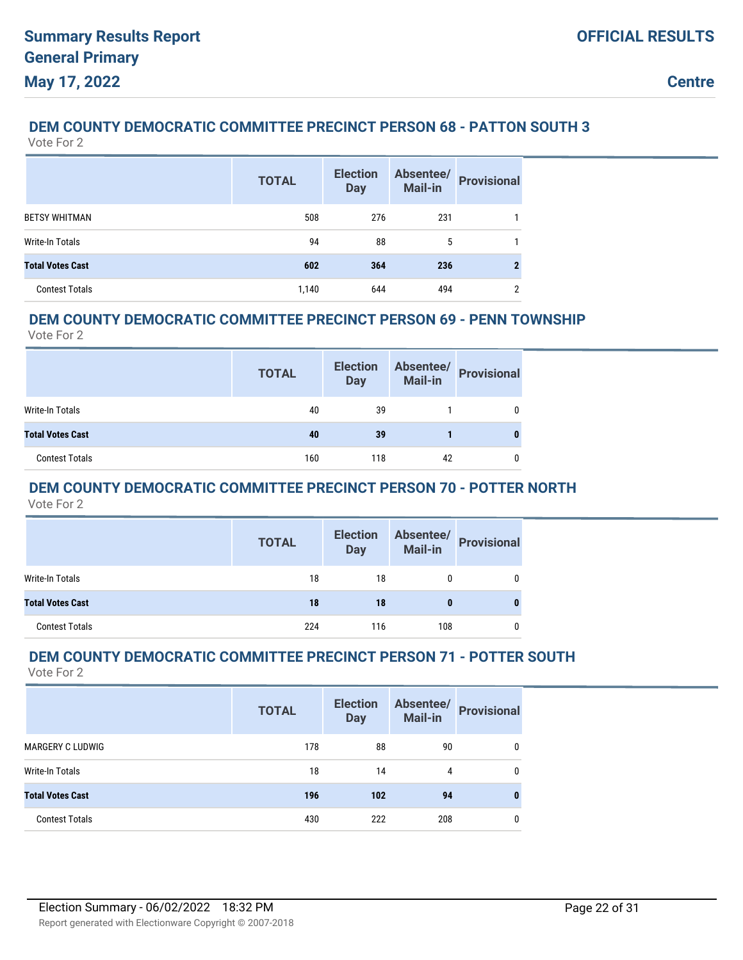## **DEM COUNTY DEMOCRATIC COMMITTEE PRECINCT PERSON 68 - PATTON SOUTH 3**

Vote For 2

|                         | <b>TOTAL</b> | <b>Election</b><br><b>Day</b> | Absentee/<br>Mail-in | <b>Provisional</b> |
|-------------------------|--------------|-------------------------------|----------------------|--------------------|
| <b>BETSY WHITMAN</b>    | 508          | 276                           | 231                  |                    |
| <b>Write-In Totals</b>  | 94           | 88                            | 5                    |                    |
| <b>Total Votes Cast</b> | 602          | 364                           | 236                  |                    |
| <b>Contest Totals</b>   | 1,140        | 644                           | 494                  | ≘                  |

### **DEM COUNTY DEMOCRATIC COMMITTEE PRECINCT PERSON 69 - PENN TOWNSHIP**

Vote For 2

|                         | <b>TOTAL</b> | <b>Election</b><br><b>Day</b> | Absentee/<br>Mail-in | <b>Provisional</b> |
|-------------------------|--------------|-------------------------------|----------------------|--------------------|
| Write-In Totals         | 40           | 39                            |                      |                    |
| <b>Total Votes Cast</b> | 40           | 39                            |                      |                    |
| <b>Contest Totals</b>   | 160          | 118                           | 42                   |                    |

### **DEM COUNTY DEMOCRATIC COMMITTEE PRECINCT PERSON 70 - POTTER NORTH**

Vote For 2

|                         | <b>TOTAL</b> | <b>Election</b><br><b>Day</b> |     | Absentee/<br>Mail-in Provisional |
|-------------------------|--------------|-------------------------------|-----|----------------------------------|
| Write-In Totals         | 18           | 18                            | 0   |                                  |
| <b>Total Votes Cast</b> | 18           | 18                            | 0   |                                  |
| <b>Contest Totals</b>   | 224          | 116                           | 108 |                                  |

### **DEM COUNTY DEMOCRATIC COMMITTEE PRECINCT PERSON 71 - POTTER SOUTH**

|                         | <b>TOTAL</b> | <b>Election</b><br><b>Day</b> | Absentee/<br><b>Mail-in</b> | <b>Provisional</b> |
|-------------------------|--------------|-------------------------------|-----------------------------|--------------------|
| <b>MARGERY C LUDWIG</b> | 178          | 88                            | 90                          |                    |
| Write-In Totals         | 18           | 14                            | 4                           |                    |
| <b>Total Votes Cast</b> | 196          | 102                           | 94                          |                    |
| <b>Contest Totals</b>   | 430          | 222                           | 208                         |                    |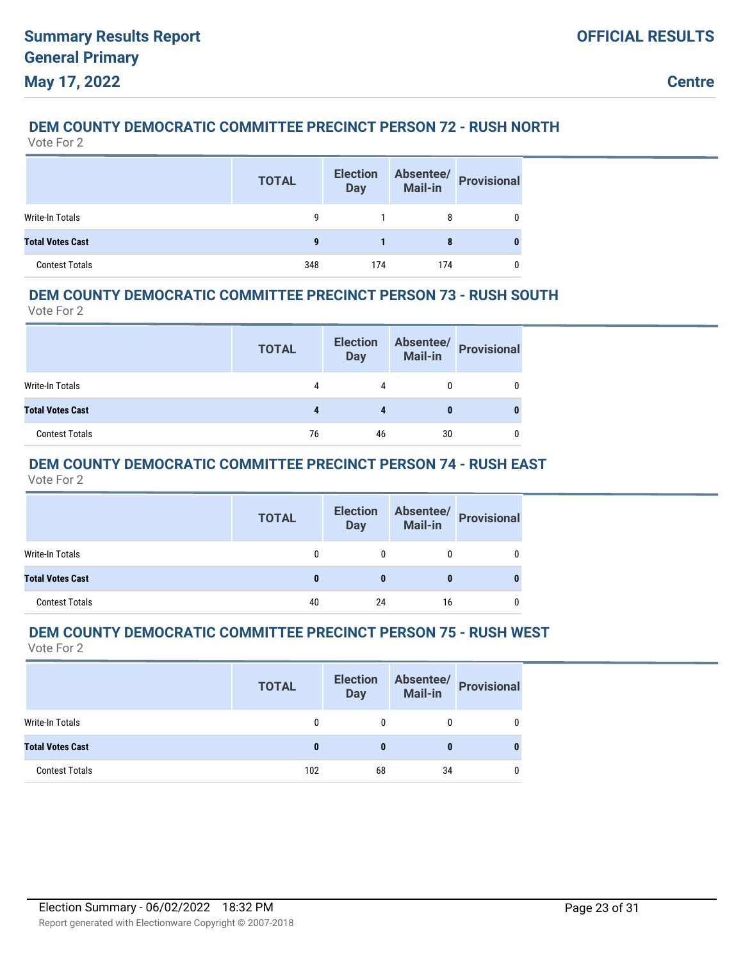### **DEM COUNTY DEMOCRATIC COMMITTEE PRECINCT PERSON 72 - RUSH NORTH**

Vote For 2

|                         | <b>TOTAL</b> | <b>Election</b><br><b>Day</b> | Absentee/<br><b>Mail-in</b> | <b>Provisional</b> |
|-------------------------|--------------|-------------------------------|-----------------------------|--------------------|
| Write-In Totals         | g            |                               | 8                           |                    |
| <b>Total Votes Cast</b> | 9            |                               |                             |                    |
| <b>Contest Totals</b>   | 348          | 174                           | 174                         |                    |

### **DEM COUNTY DEMOCRATIC COMMITTEE PRECINCT PERSON 73 - RUSH SOUTH**

Vote For 2

|                         | <b>TOTAL</b> | <b>Election</b><br><b>Day</b> | <b>Mail-in</b> | Absentee/ Provisional |
|-------------------------|--------------|-------------------------------|----------------|-----------------------|
| Write-In Totals         | 4            |                               |                |                       |
| <b>Total Votes Cast</b> |              |                               |                |                       |
| <b>Contest Totals</b>   | 76           | 46                            | 30             |                       |

### **DEM COUNTY DEMOCRATIC COMMITTEE PRECINCT PERSON 74 - RUSH EAST**

Vote For 2

|                         | <b>TOTAL</b> | <b>Election</b><br>Day |    | Absentee/<br>Mail-in Provisional |
|-------------------------|--------------|------------------------|----|----------------------------------|
| Write-In Totals         | $\mathbf{0}$ |                        | 0  | 0                                |
| <b>Total Votes Cast</b> | $\bf{0}$     | $\bf{0}$               |    | 0                                |
| <b>Contest Totals</b>   | 40           | 24                     | 16 | 0                                |

## **DEM COUNTY DEMOCRATIC COMMITTEE PRECINCT PERSON 75 - RUSH WEST**

|                         | <b>TOTAL</b> | <b>Election</b><br><b>Day</b> | Absentee/<br>Mail-in | <b>Provisional</b> |
|-------------------------|--------------|-------------------------------|----------------------|--------------------|
| <b>Write-In Totals</b>  | 0            | 0                             | 0                    |                    |
| <b>Total Votes Cast</b> | 0            | 0                             |                      |                    |
| <b>Contest Totals</b>   | 102          | 68                            | 34                   |                    |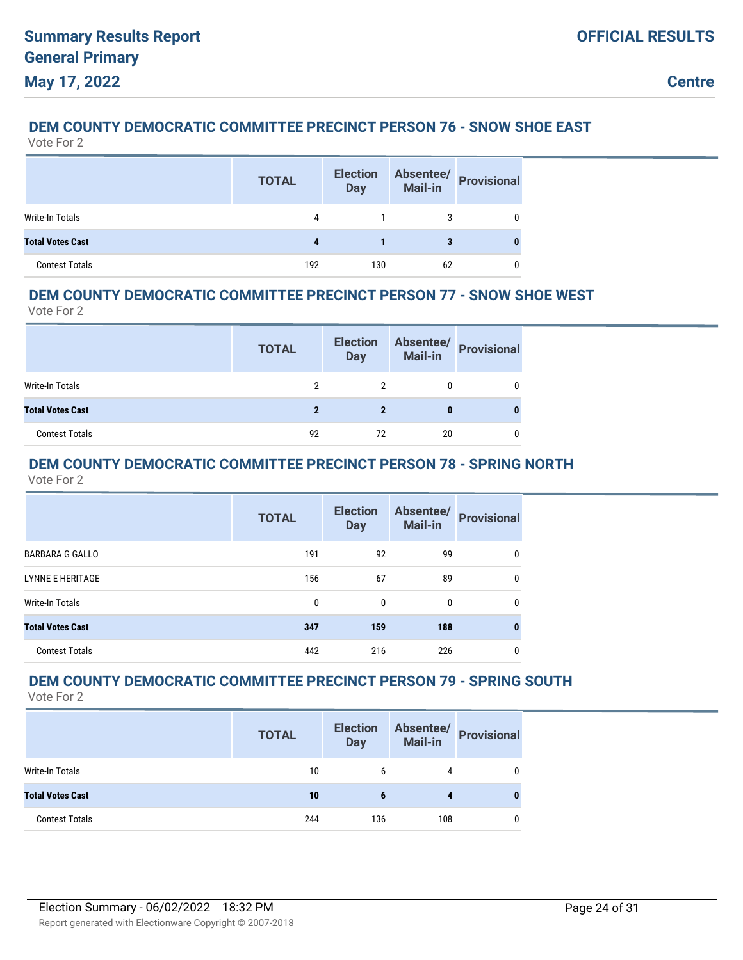## **DEM COUNTY DEMOCRATIC COMMITTEE PRECINCT PERSON 76 - SNOW SHOE EAST**

Vote For 2

|                         | <b>TOTAL</b> | <b>Election</b><br><b>Day</b> | Absentee/<br>Mail-in | <b>Provisional</b> |
|-------------------------|--------------|-------------------------------|----------------------|--------------------|
| Write-In Totals         | 4            |                               | 3                    |                    |
| <b>Total Votes Cast</b> |              |                               | 3                    |                    |
| <b>Contest Totals</b>   | 192          | 130                           | 62                   |                    |

### **DEM COUNTY DEMOCRATIC COMMITTEE PRECINCT PERSON 77 - SNOW SHOE WEST**

Vote For 2

|                         | <b>TOTAL</b> | <b>Election</b><br><b>Day</b> |    | Absentee/<br>Mail-in Provisional |
|-------------------------|--------------|-------------------------------|----|----------------------------------|
| Write-In Totals         | 2            |                               |    |                                  |
| <b>Total Votes Cast</b> |              |                               |    |                                  |
| <b>Contest Totals</b>   | 92           | 72                            | 20 |                                  |

## **DEM COUNTY DEMOCRATIC COMMITTEE PRECINCT PERSON 78 - SPRING NORTH**

Vote For 2

|                         | <b>TOTAL</b> | <b>Election</b><br><b>Day</b> | Absentee/<br>Mail-in | <b>Provisional</b> |
|-------------------------|--------------|-------------------------------|----------------------|--------------------|
| <b>BARBARA G GALLO</b>  | 191          | 92                            | 99                   | 0                  |
| <b>LYNNE E HERITAGE</b> | 156          | 67                            | 89                   | 0                  |
| Write-In Totals         | 0            | 0                             | 0                    | 0                  |
| <b>Total Votes Cast</b> | 347          | 159                           | 188                  | 0                  |
| <b>Contest Totals</b>   | 442          | 216                           | 226                  | 0                  |

## **DEM COUNTY DEMOCRATIC COMMITTEE PRECINCT PERSON 79 - SPRING SOUTH**

|                         | <b>TOTAL</b> | <b>Election</b><br><b>Day</b> | Absentee/<br>Mail-in | <b>Provisional</b> |
|-------------------------|--------------|-------------------------------|----------------------|--------------------|
| Write-In Totals         | 10           | 6                             | 4                    | 0                  |
| <b>Total Votes Cast</b> | 10           | 6                             |                      |                    |
| <b>Contest Totals</b>   | 244          | 136                           | 108                  | 0                  |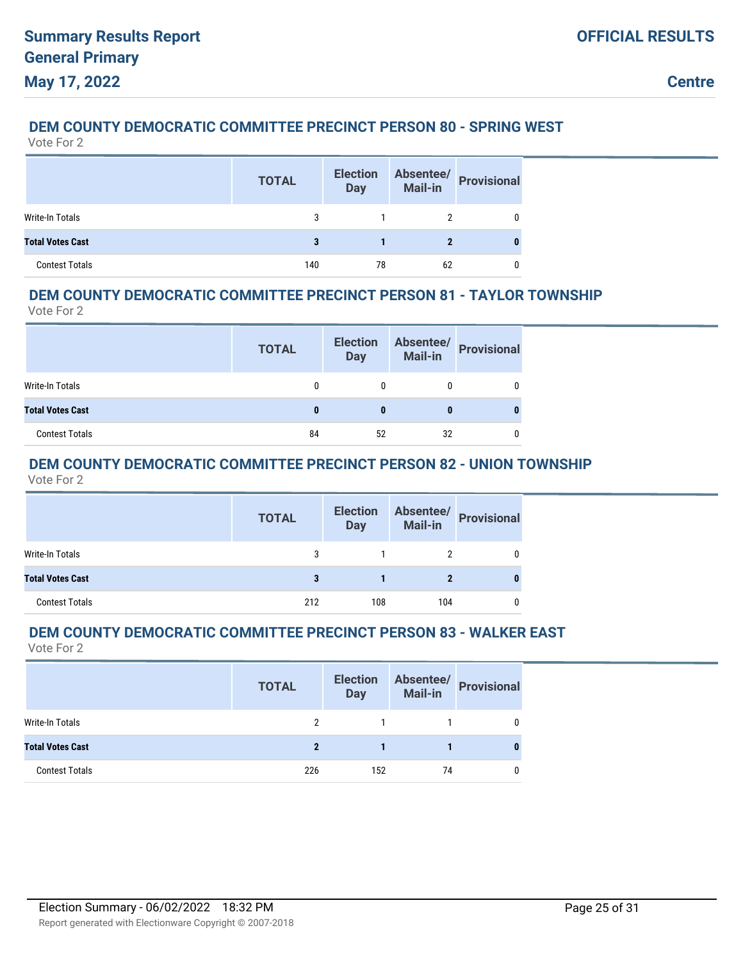### **DEM COUNTY DEMOCRATIC COMMITTEE PRECINCT PERSON 80 - SPRING WEST**

Vote For 2

|                         | <b>TOTAL</b> | <b>Election</b><br><b>Day</b> | Absentee/<br>Mail-in | <b>Provisional</b> |
|-------------------------|--------------|-------------------------------|----------------------|--------------------|
| Write-In Totals         |              |                               |                      |                    |
| <b>Total Votes Cast</b> | 3            |                               | 2                    |                    |
| <b>Contest Totals</b>   | 140          | 78                            | 62                   |                    |

### **DEM COUNTY DEMOCRATIC COMMITTEE PRECINCT PERSON 81 - TAYLOR TOWNSHIP**

Vote For 2

|                         | <b>TOTAL</b> | <b>Election</b><br><b>Day</b> |    | Absentee/<br>Mail-in Provisional |
|-------------------------|--------------|-------------------------------|----|----------------------------------|
| Write-In Totals         | 0            |                               |    |                                  |
| <b>Total Votes Cast</b> |              | 0                             |    |                                  |
| <b>Contest Totals</b>   | 84           | 52                            | 32 |                                  |

### **DEM COUNTY DEMOCRATIC COMMITTEE PRECINCT PERSON 82 - UNION TOWNSHIP**

Vote For 2

|                         | <b>TOTAL</b> | <b>Election</b><br><b>Day</b> |     | Absentee/<br>Mail-in<br> |
|-------------------------|--------------|-------------------------------|-----|--------------------------|
| Write-In Totals         | 3            |                               | 2   |                          |
| <b>Total Votes Cast</b> | 3            |                               |     |                          |
| <b>Contest Totals</b>   | 212          | 108                           | 104 |                          |

## **DEM COUNTY DEMOCRATIC COMMITTEE PRECINCT PERSON 83 - WALKER EAST**

|                         | <b>TOTAL</b> | <b>Election</b><br><b>Day</b> | Absentee/<br>Mail-in | <b>Provisional</b> |
|-------------------------|--------------|-------------------------------|----------------------|--------------------|
| <b>Write-In Totals</b>  | 2            |                               |                      |                    |
| <b>Total Votes Cast</b> | 2            |                               |                      | 0                  |
| <b>Contest Totals</b>   | 226          | 152                           | 74                   |                    |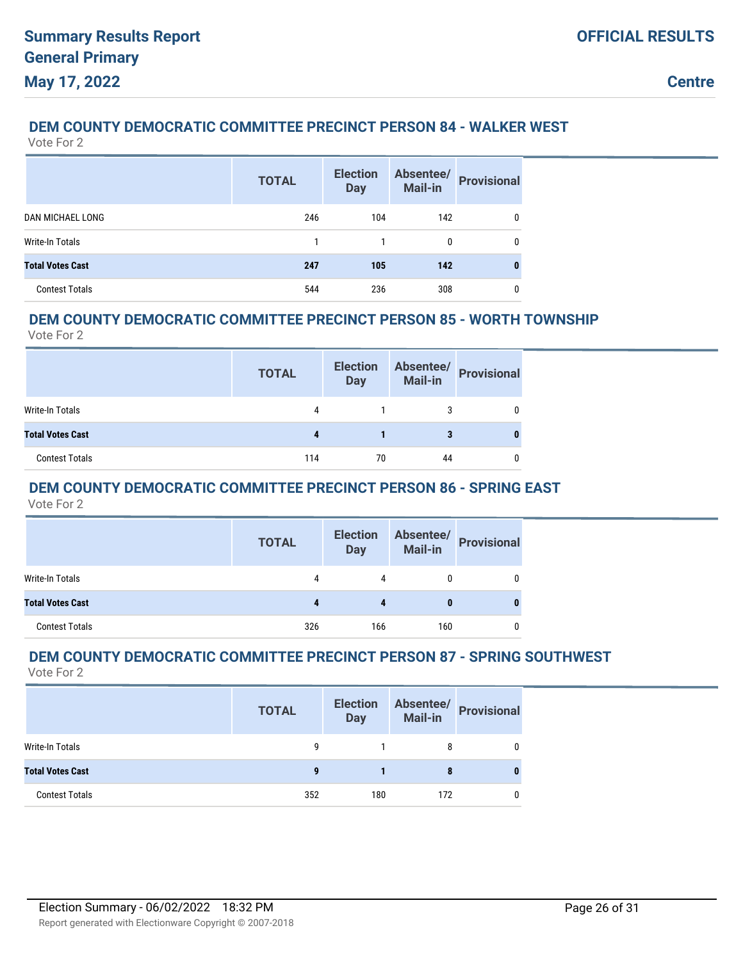### **DEM COUNTY DEMOCRATIC COMMITTEE PRECINCT PERSON 84 - WALKER WEST**

Vote For 2

|                         | <b>TOTAL</b> | <b>Election</b><br><b>Day</b> | Absentee/<br>Mail-in | <b>Provisional</b> |
|-------------------------|--------------|-------------------------------|----------------------|--------------------|
| <b>DAN MICHAEL LONG</b> | 246          | 104                           | 142                  | 0                  |
| Write-In Totals         |              |                               | 0                    | 0                  |
| <b>Total Votes Cast</b> | 247          | 105                           | 142                  | 0                  |
| <b>Contest Totals</b>   | 544          | 236                           | 308                  | 0                  |

### **DEM COUNTY DEMOCRATIC COMMITTEE PRECINCT PERSON 85 - WORTH TOWNSHIP**

Vote For 2

|                         | <b>TOTAL</b> | <b>Election</b><br><b>Day</b> | Absentee/<br><b>Mail-in</b> | <b>Provisional</b> |
|-------------------------|--------------|-------------------------------|-----------------------------|--------------------|
| Write-In Totals         | 4            |                               | 3                           |                    |
| <b>Total Votes Cast</b> |              |                               |                             |                    |
| <b>Contest Totals</b>   | 114          | 70                            | 44                          |                    |

### **DEM COUNTY DEMOCRATIC COMMITTEE PRECINCT PERSON 86 - SPRING EAST**

Vote For 2

|                         | <b>TOTAL</b> | <b>Election</b><br><b>Day</b> |          | Absentee/<br>Mail-in<br> |
|-------------------------|--------------|-------------------------------|----------|--------------------------|
| Write-In Totals         | 4            | 4                             |          | 0                        |
| <b>Total Votes Cast</b> | 4            | Д                             | $\bf{0}$ | 0                        |
| <b>Contest Totals</b>   | 326          | 166                           | 160      |                          |

### **DEM COUNTY DEMOCRATIC COMMITTEE PRECINCT PERSON 87 - SPRING SOUTHWEST**

|                         | <b>TOTAL</b> | <b>Election</b><br><b>Day</b> | Absentee/<br><b>Mail-in</b> | <b>Provisional</b> |
|-------------------------|--------------|-------------------------------|-----------------------------|--------------------|
| Write-In Totals         | g            |                               | 8                           |                    |
| <b>Total Votes Cast</b> | 9            |                               | 8                           |                    |
| <b>Contest Totals</b>   | 352          | 180                           | 172                         |                    |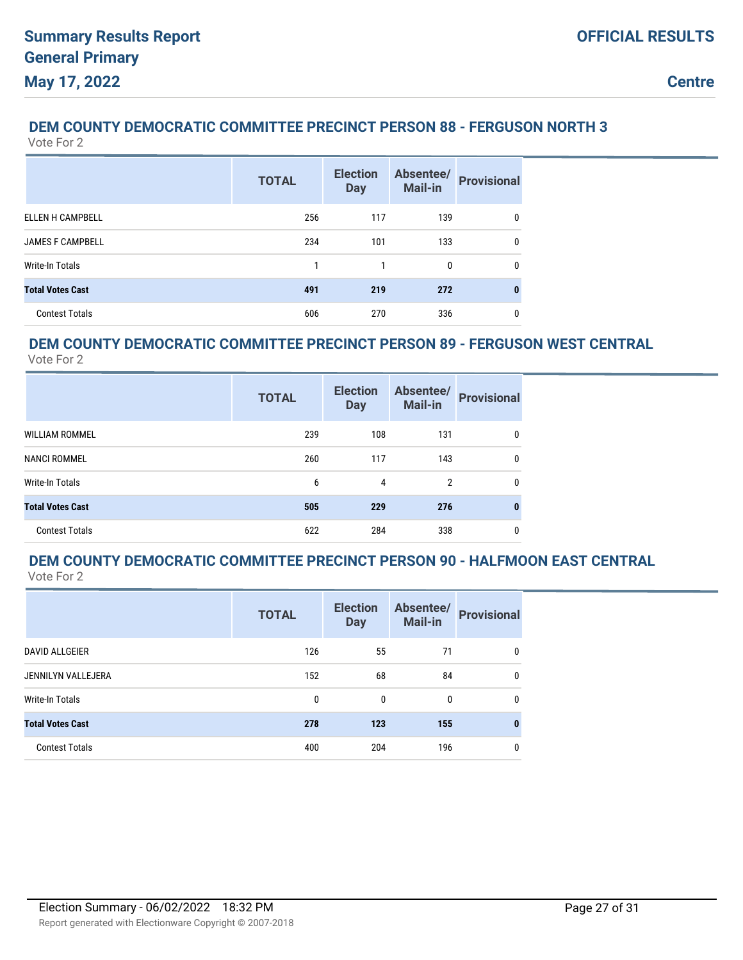## **DEM COUNTY DEMOCRATIC COMMITTEE PRECINCT PERSON 88 - FERGUSON NORTH 3**

Vote For 2

|                         | <b>TOTAL</b> | <b>Election</b><br><b>Day</b> | Absentee/<br>Mail-in | <b>Provisional</b> |
|-------------------------|--------------|-------------------------------|----------------------|--------------------|
| <b>ELLEN H CAMPBELL</b> | 256          | 117                           | 139                  | 0                  |
| <b>JAMES F CAMPBELL</b> | 234          | 101                           | 133                  | $\Omega$           |
| Write-In Totals         |              |                               | 0                    | 0                  |
| <b>Total Votes Cast</b> | 491          | 219                           | 272                  | 0                  |
| <b>Contest Totals</b>   | 606          | 270                           | 336                  | 0                  |

## **DEM COUNTY DEMOCRATIC COMMITTEE PRECINCT PERSON 89 - FERGUSON WEST CENTRAL**

Vote For 2

|                         | <b>TOTAL</b> | <b>Election</b><br><b>Day</b> | Absentee/<br>Mail-in | <b>Provisional</b> |
|-------------------------|--------------|-------------------------------|----------------------|--------------------|
| <b>WILLIAM ROMMEL</b>   | 239          | 108                           | 131                  | 0                  |
| <b>NANCI ROMMEL</b>     | 260          | 117                           | 143                  | 0                  |
| Write-In Totals         | 6            | 4                             | $\overline{2}$       | 0                  |
| <b>Total Votes Cast</b> | 505          | 229                           | 276                  |                    |
| <b>Contest Totals</b>   | 622          | 284                           | 338                  | 0                  |

#### **DEM COUNTY DEMOCRATIC COMMITTEE PRECINCT PERSON 90 - HALFMOON EAST CENTRAL** Vote For 2

|                         | <b>TOTAL</b> | <b>Election</b><br><b>Day</b> | Absentee/<br>Mail-in | <b>Provisional</b> |
|-------------------------|--------------|-------------------------------|----------------------|--------------------|
| <b>DAVID ALLGEIER</b>   | 126          | 55                            | 71                   | 0                  |
| JENNILYN VALLEJERA      | 152          | 68                            | 84                   | $\mathbf{0}$       |
| Write-In Totals         | 0            | 0                             | $\Omega$             | $\mathbf{0}$       |
| <b>Total Votes Cast</b> | 278          | 123                           | 155                  | 0                  |
| <b>Contest Totals</b>   | 400          | 204                           | 196                  | 0                  |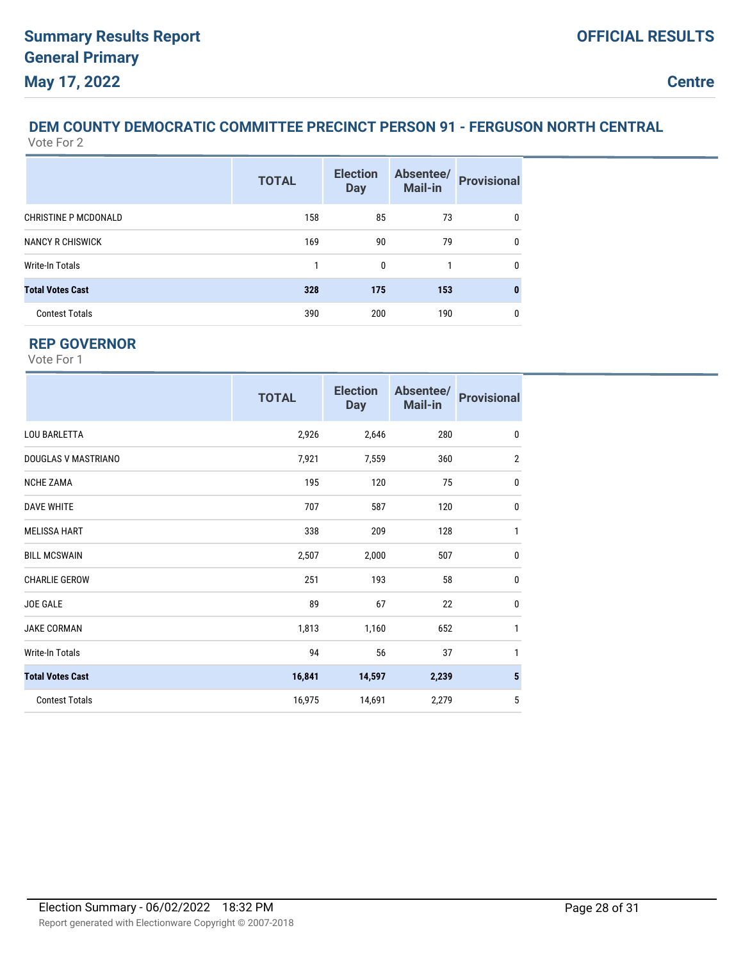#### **DEM COUNTY DEMOCRATIC COMMITTEE PRECINCT PERSON 91 - FERGUSON NORTH CENTRAL** Vote For 2

|                             | <b>TOTAL</b> | <b>Election</b><br><b>Day</b> | Absentee/<br>Mail-in | <b>Provisional</b> |
|-----------------------------|--------------|-------------------------------|----------------------|--------------------|
| <b>CHRISTINE P MCDONALD</b> | 158          | 85                            | 73                   | 0                  |
| <b>NANCY R CHISWICK</b>     | 169          | 90                            | 79                   | $\mathbf{0}$       |
| Write-In Totals             | 1            | 0                             | 1                    | 0                  |
| <b>Total Votes Cast</b>     | 328          | 175                           | 153                  | 0                  |
| <b>Contest Totals</b>       | 390          | 200                           | 190                  | 0                  |

### **REP GOVERNOR**

|                         | <b>TOTAL</b> | <b>Election</b><br><b>Day</b> | Absentee/<br><b>Mail-in</b> | <b>Provisional</b> |
|-------------------------|--------------|-------------------------------|-----------------------------|--------------------|
| <b>LOU BARLETTA</b>     | 2,926        | 2,646                         | 280                         | $\mathbf{0}$       |
| DOUGLAS V MASTRIANO     | 7,921        | 7,559                         | 360                         | $\overline{2}$     |
| <b>NCHE ZAMA</b>        | 195          | 120                           | 75                          | $\mathbf 0$        |
| <b>DAVE WHITE</b>       | 707          | 587                           | 120                         | $\mathbf 0$        |
| <b>MELISSA HART</b>     | 338          | 209                           | 128                         | $\mathbf{1}$       |
| <b>BILL MCSWAIN</b>     | 2,507        | 2,000                         | 507                         | $\mathbf 0$        |
| <b>CHARLIE GEROW</b>    | 251          | 193                           | 58                          | $\mathbf 0$        |
| <b>JOE GALE</b>         | 89           | 67                            | 22                          | $\mathbf 0$        |
| <b>JAKE CORMAN</b>      | 1,813        | 1,160                         | 652                         | $\mathbf{1}$       |
| Write-In Totals         | 94           | 56                            | 37                          | 1                  |
| <b>Total Votes Cast</b> | 16,841       | 14,597                        | 2,239                       | $5\phantom{.0}$    |
| <b>Contest Totals</b>   | 16,975       | 14,691                        | 2,279                       | 5                  |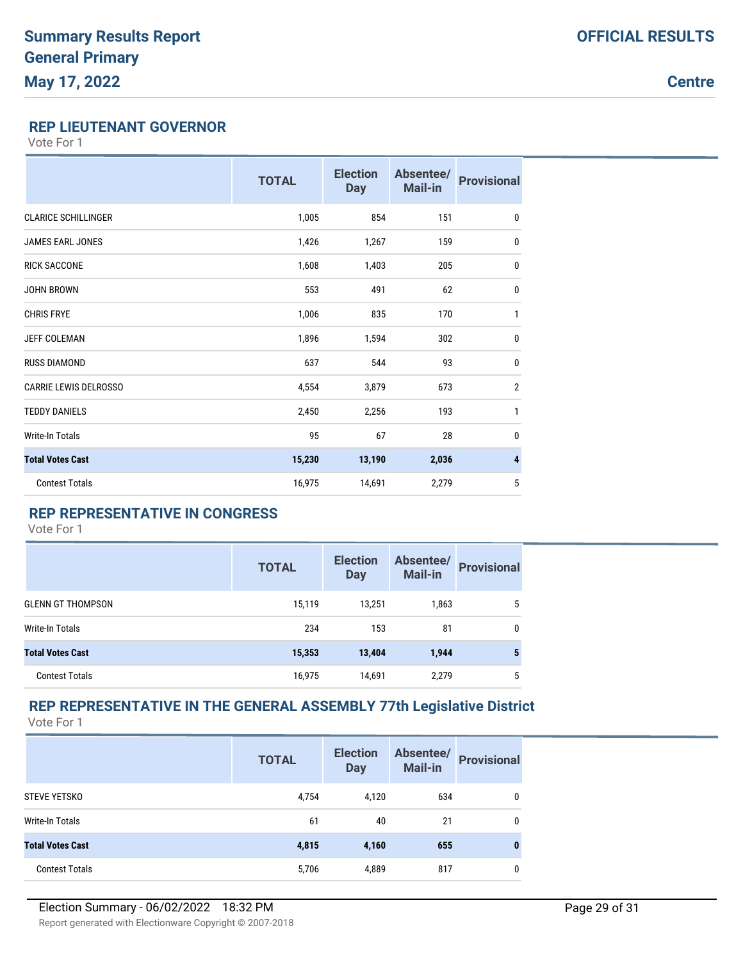### **Centre**

#### **REP LIEUTENANT GOVERNOR**

Vote For 1

|                              | <b>TOTAL</b> | <b>Election</b><br><b>Day</b> | Absentee/<br><b>Mail-in</b> | <b>Provisional</b> |
|------------------------------|--------------|-------------------------------|-----------------------------|--------------------|
| <b>CLARICE SCHILLINGER</b>   | 1,005        | 854                           | 151                         | 0                  |
| <b>JAMES EARL JONES</b>      | 1,426        | 1,267                         | 159                         | 0                  |
| <b>RICK SACCONE</b>          | 1,608        | 1,403                         | 205                         | 0                  |
| <b>JOHN BROWN</b>            | 553          | 491                           | 62                          | 0                  |
| <b>CHRIS FRYE</b>            | 1,006        | 835                           | 170                         | $\mathbf{1}$       |
| <b>JEFF COLEMAN</b>          | 1,896        | 1,594                         | 302                         | $\mathbf{0}$       |
| <b>RUSS DIAMOND</b>          | 637          | 544                           | 93                          | $\bf{0}$           |
| <b>CARRIE LEWIS DELROSSO</b> | 4,554        | 3,879                         | 673                         | $\overline{2}$     |
| <b>TEDDY DANIELS</b>         | 2,450        | 2,256                         | 193                         | 1                  |
| Write-In Totals              | 95           | 67                            | 28                          | $\mathbf 0$        |
| <b>Total Votes Cast</b>      | 15,230       | 13,190                        | 2,036                       | 4                  |
| <b>Contest Totals</b>        | 16,975       | 14,691                        | 2,279                       | 5                  |

### **REP REPRESENTATIVE IN CONGRESS**

Vote For 1

|                          | <b>TOTAL</b> | <b>Election</b><br><b>Day</b> | Absentee/<br>Mail-in | <b>Provisional</b> |
|--------------------------|--------------|-------------------------------|----------------------|--------------------|
| <b>GLENN GT THOMPSON</b> | 15,119       | 13,251                        | 1,863                | 5                  |
| Write-In Totals          | 234          | 153                           | 81                   | 0                  |
| <b>Total Votes Cast</b>  | 15,353       | 13,404                        | 1,944                | 5                  |
| <b>Contest Totals</b>    | 16,975       | 14,691                        | 2,279                | 5                  |

# **REP REPRESENTATIVE IN THE GENERAL ASSEMBLY 77th Legislative District**

|                         | <b>TOTAL</b> | <b>Election</b><br><b>Day</b> | Absentee/<br>Mail-in | <b>Provisional</b> |
|-------------------------|--------------|-------------------------------|----------------------|--------------------|
| <b>STEVE YETSKO</b>     | 4,754        | 4,120                         | 634                  | 0                  |
| Write-In Totals         | 61           | 40                            | 21                   | 0                  |
| <b>Total Votes Cast</b> | 4,815        | 4,160                         | 655                  | $\bf{0}$           |
| <b>Contest Totals</b>   | 5,706        | 4,889                         | 817                  | 0                  |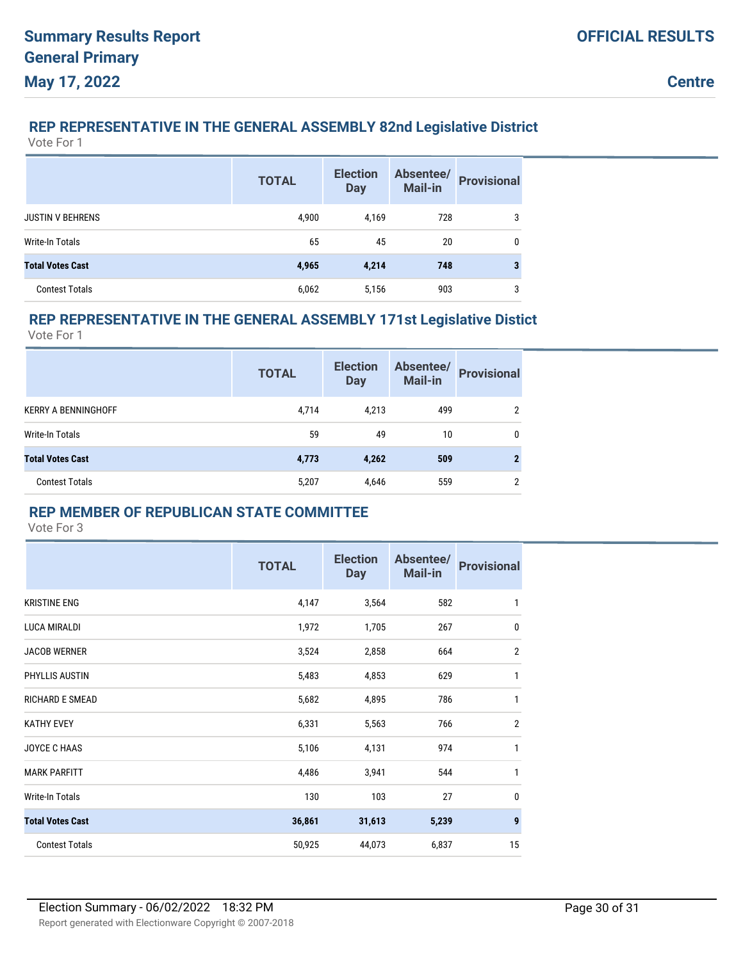### **REP REPRESENTATIVE IN THE GENERAL ASSEMBLY 82nd Legislative District**

Vote For 1

|                         | <b>TOTAL</b> | <b>Election</b><br><b>Day</b> | Absentee/<br>Mail-in | <b>Provisional</b> |
|-------------------------|--------------|-------------------------------|----------------------|--------------------|
| <b>JUSTIN V BEHRENS</b> | 4,900        | 4,169                         | 728                  | 3                  |
| <b>Write-In Totals</b>  | 65           | 45                            | 20                   | 0                  |
| <b>Total Votes Cast</b> | 4,965        | 4,214                         | 748                  | 3                  |
| <b>Contest Totals</b>   | 6,062        | 5,156                         | 903                  | 3                  |

### **REP REPRESENTATIVE IN THE GENERAL ASSEMBLY 171st Legislative Distict**

Vote For 1

|                            | <b>TOTAL</b> | <b>Election</b><br><b>Day</b> | Absentee/<br>Mail-in | <b>Provisional</b> |
|----------------------------|--------------|-------------------------------|----------------------|--------------------|
| <b>KERRY A BENNINGHOFF</b> | 4,714        | 4,213                         | 499                  | 2                  |
| Write-In Totals            | 59           | 49                            | 10                   | 0                  |
| <b>Total Votes Cast</b>    | 4,773        | 4,262                         | 509                  | 2                  |
| <b>Contest Totals</b>      | 5,207        | 4,646                         | 559                  | 2                  |

### **REP MEMBER OF REPUBLICAN STATE COMMITTEE**

|                         | <b>TOTAL</b> | <b>Election</b><br><b>Day</b> | Absentee/<br><b>Mail-in</b> | <b>Provisional</b> |
|-------------------------|--------------|-------------------------------|-----------------------------|--------------------|
| <b>KRISTINE ENG</b>     | 4,147        | 3,564                         | 582                         | 1                  |
| <b>LUCA MIRALDI</b>     | 1,972        | 1,705                         | 267                         | $\mathbf 0$        |
| <b>JACOB WERNER</b>     | 3,524        | 2,858                         | 664                         | $\mathbf{2}$       |
| PHYLLIS AUSTIN          | 5,483        | 4,853                         | 629                         | $\mathbf{1}$       |
| <b>RICHARD E SMEAD</b>  | 5,682        | 4,895                         | 786                         | 1                  |
| <b>KATHY EVEY</b>       | 6,331        | 5,563                         | 766                         | $\overline{2}$     |
| <b>JOYCE C HAAS</b>     | 5,106        | 4,131                         | 974                         | $\mathbf{1}$       |
| <b>MARK PARFITT</b>     | 4,486        | 3,941                         | 544                         | $\mathbf{1}$       |
| Write-In Totals         | 130          | 103                           | 27                          | $\mathbf{0}$       |
| <b>Total Votes Cast</b> | 36,861       | 31,613                        | 5,239                       | $\boldsymbol{9}$   |
| <b>Contest Totals</b>   | 50,925       | 44,073                        | 6,837                       | 15                 |